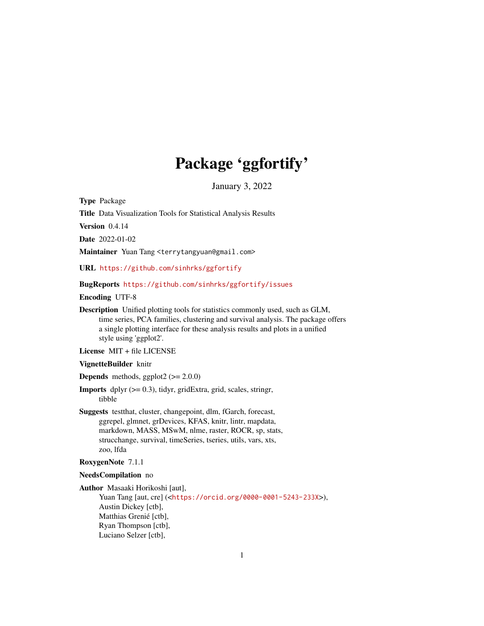# Package 'ggfortify'

January 3, 2022

Type Package

Title Data Visualization Tools for Statistical Analysis Results

Version 0.4.14

Date 2022-01-02

Maintainer Yuan Tang <terrytangyuan@gmail.com>

URL <https://github.com/sinhrks/ggfortify>

#### BugReports <https://github.com/sinhrks/ggfortify/issues>

Encoding UTF-8

Description Unified plotting tools for statistics commonly used, such as GLM, time series, PCA families, clustering and survival analysis. The package offers a single plotting interface for these analysis results and plots in a unified style using 'ggplot2'.

License MIT + file LICENSE

#### VignetteBuilder knitr

**Depends** methods, ggplot2  $(>= 2.0.0)$ 

- **Imports** dplyr  $(>= 0.3)$ , tidyr, gridExtra, grid, scales, stringr, tibble
- Suggests testthat, cluster, changepoint, dlm, fGarch, forecast, ggrepel, glmnet, grDevices, KFAS, knitr, lintr, mapdata, markdown, MASS, MSwM, nlme, raster, ROCR, sp, stats, strucchange, survival, timeSeries, tseries, utils, vars, xts, zoo, lfda

#### RoxygenNote 7.1.1

#### NeedsCompilation no

Author Masaaki Horikoshi [aut], Yuan Tang [aut, cre] (<<https://orcid.org/0000-0001-5243-233X>>), Austin Dickey [ctb], Matthias Grenié [ctb], Ryan Thompson [ctb], Luciano Selzer [ctb],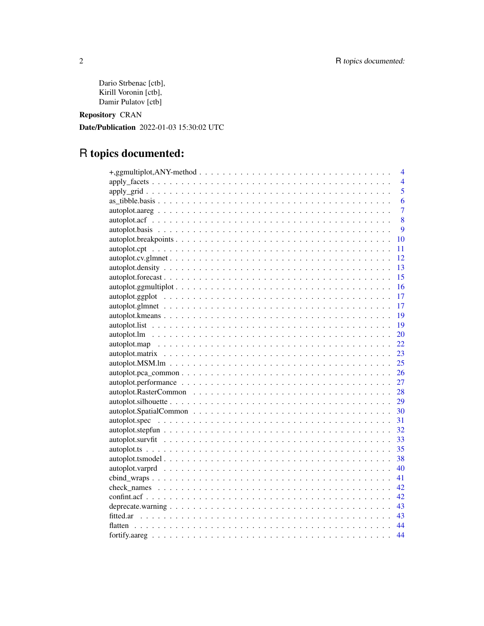Dario Strbenac [ctb], Kirill Voronin [ctb], Damir Pulatov [ctb]

Repository CRAN

Date/Publication 2022-01-03 15:30:02 UTC

# R topics documented:

| 4              |
|----------------|
| $\overline{4}$ |
| 5              |
| 6              |
| $\overline{7}$ |
| 8              |
| $\mathbf Q$    |
| 10             |
| 11             |
| 12             |
| 13             |
| 15             |
| 16             |
| 17             |
| 17             |
| 19             |
| 19             |
| 20             |
| 22             |
|                |
|                |
|                |
| 27             |
|                |
| 29             |
| 30             |
| 31             |
| 32             |
| 33             |
| 35             |
| 38             |
| 40             |
| 41             |
| 42             |
| 42             |
| 43             |
| 43             |
| 44             |
| 44             |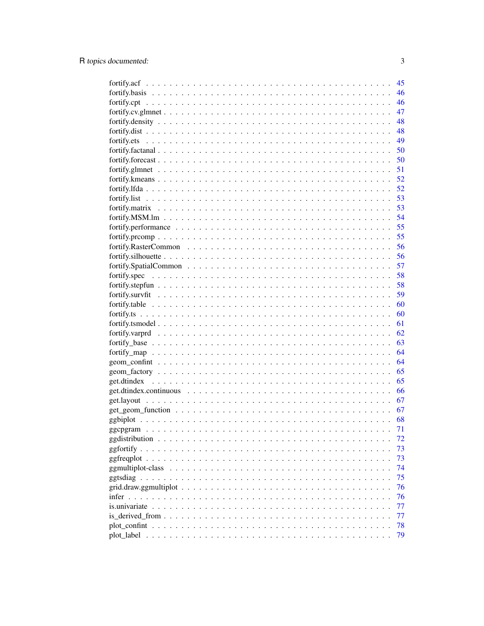|                | 45 |
|----------------|----|
|                | 46 |
|                | 46 |
|                | 47 |
|                | 48 |
|                | 48 |
|                | 49 |
|                | 50 |
|                | 50 |
|                | 51 |
|                | 52 |
|                | 52 |
|                | 53 |
|                | 53 |
|                | 54 |
|                | 55 |
|                | 55 |
|                | 56 |
|                | 56 |
|                | 57 |
|                |    |
|                | 58 |
|                | 58 |
|                | 59 |
|                | 60 |
|                | 60 |
|                | 61 |
|                | 62 |
|                | 63 |
|                | 64 |
|                | 64 |
|                | 65 |
|                | 65 |
|                | 66 |
|                | 67 |
|                | 67 |
|                | 68 |
|                | 71 |
|                | 72 |
| ggfortify.     | 73 |
|                | 73 |
|                | 74 |
|                | 75 |
|                | 76 |
| infer $\ldots$ | 76 |
|                | 77 |
|                | 77 |
|                | 78 |
|                | 79 |
|                |    |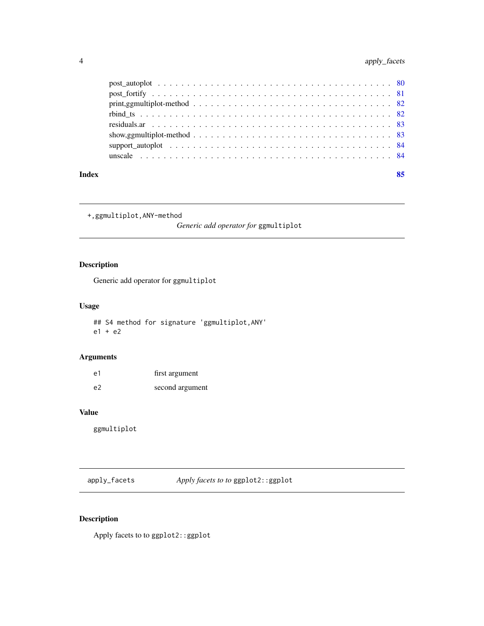<span id="page-3-0"></span>

| Index |                                                                                                                   | 85 |
|-------|-------------------------------------------------------------------------------------------------------------------|----|
|       |                                                                                                                   |    |
|       |                                                                                                                   |    |
|       | show, g multiplot-method $\ldots \ldots \ldots \ldots \ldots \ldots \ldots \ldots \ldots \ldots \ldots \ldots$ 83 |    |
|       |                                                                                                                   |    |
|       |                                                                                                                   |    |
|       |                                                                                                                   |    |
|       |                                                                                                                   |    |
|       |                                                                                                                   |    |

+,ggmultiplot,ANY-method

*Generic add operator for* ggmultiplot

# Description

Generic add operator for ggmultiplot

# Usage

## S4 method for signature 'ggmultiplot,ANY' e1 + e2

# Arguments

| e1 | first argument  |
|----|-----------------|
| e2 | second argument |

#### Value

ggmultiplot

apply\_facets *Apply facets to to* ggplot2::ggplot

# Description

Apply facets to to ggplot2::ggplot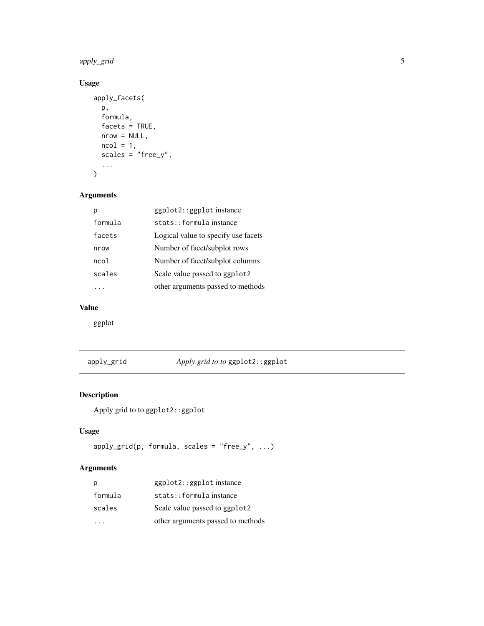<span id="page-4-0"></span>apply\_grid 5

# Usage

```
apply_facets(
  p,
  formula,
  facets = TRUE,
  nrow = NULL,
  ncol = 1,
  scales = 'rfree_y",...
\mathcal{L}
```
#### Arguments

|         | ggplot2::ggplot instance            |
|---------|-------------------------------------|
| formula | stats::formulainstance              |
| facets  | Logical value to specify use facets |
| nrow    | Number of facet/subplot rows        |
| ncol    | Number of facet/subplot columns     |
| scales  | Scale value passed to ggplot2       |
|         | other arguments passed to methods   |

# Value

ggplot

# apply\_grid *Apply grid to to* ggplot2::ggplot

# Description

Apply grid to to ggplot2::ggplot

# Usage

```
apply\_grid(p, formula, scales = "free_y", ...)
```

| р       | ggplot2::ggplot instance          |
|---------|-----------------------------------|
| formula | stats::formulainstance            |
| scales  | Scale value passed to ggplot2     |
|         | other arguments passed to methods |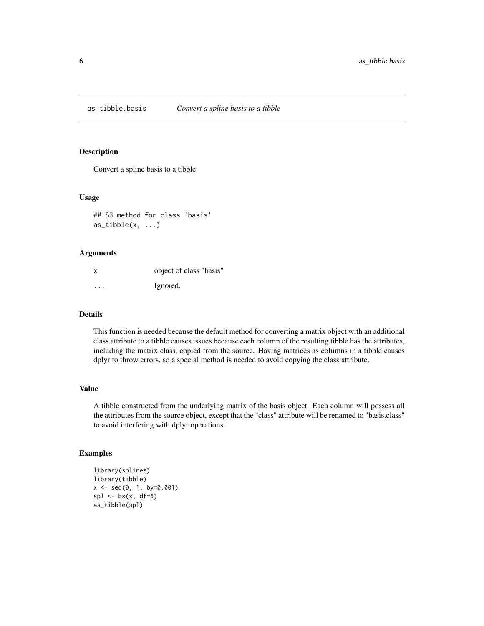<span id="page-5-0"></span>as\_tibble.basis *Convert a spline basis to a tibble*

#### Description

Convert a spline basis to a tibble

#### Usage

## S3 method for class 'basis'  $as\_tibble(x, \ldots)$ 

#### Arguments

| x       | object of class "basis" |
|---------|-------------------------|
| $\cdot$ | Ignored.                |

#### Details

This function is needed because the default method for converting a matrix object with an additional class attribute to a tibble causes issues because each column of the resulting tibble has the attributes, including the matrix class, copied from the source. Having matrices as columns in a tibble causes dplyr to throw errors, so a special method is needed to avoid copying the class attribute.

#### Value

A tibble constructed from the underlying matrix of the basis object. Each column will possess all the attributes from the source object, except that the "class" attribute will be renamed to "basis.class" to avoid interfering with dplyr operations.

#### Examples

```
library(splines)
library(tibble)
x <- seq(0, 1, by=0.001)
spl \leftarrow bs(x, df=6)as_tibble(spl)
```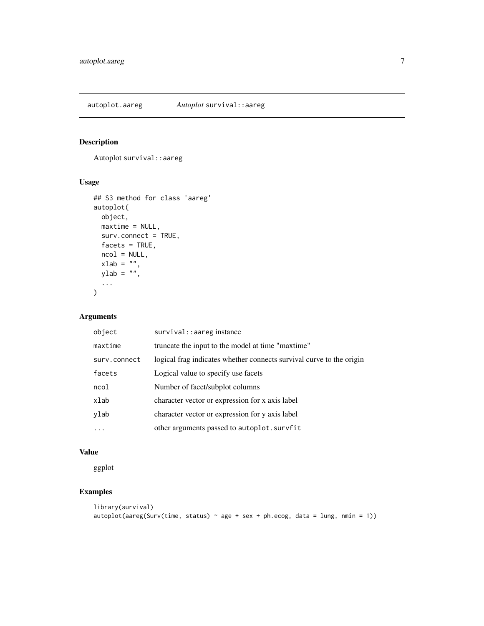<span id="page-6-0"></span>autoplot.aareg *Autoplot* survival::aareg

#### Description

Autoplot survival::aareg

#### Usage

```
## S3 method for class 'aareg'
autoplot(
 object,
 maxtime = NULL,
 surv.connect = TRUE,
 factors = TRUE,ncol = NULL,xlab = ",
  ylab = ",
  ...
\mathcal{L}
```
#### Arguments

| object       | survival: : aareg instance                                           |
|--------------|----------------------------------------------------------------------|
| maxtime      | truncate the input to the model at time "maxtime"                    |
| surv.connect | logical frag indicates whether connects survival curve to the origin |
| facets       | Logical value to specify use facets                                  |
| ncol         | Number of facet/subplot columns                                      |
| xlab         | character vector or expression for x axis label                      |
| ylab         | character vector or expression for y axis label                      |
|              | other arguments passed to autoplot.survfit                           |

# Value

ggplot

# Examples

```
library(survival)
autoplot(aareg(Surv(time, status) \sim age + sex + ph.ecog, data = lung, nmin = 1))
```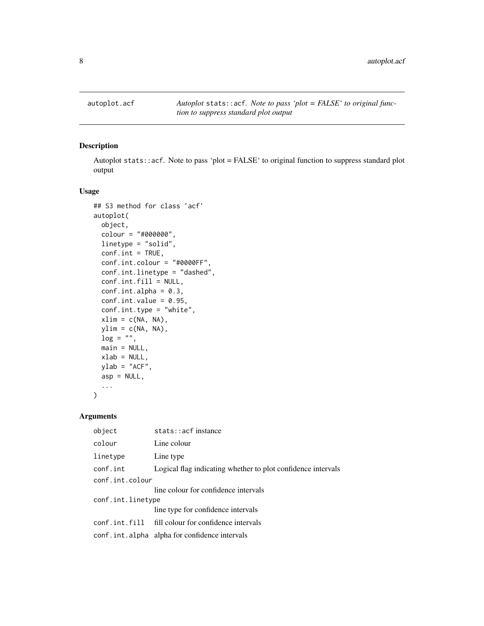<span id="page-7-0"></span>

#### Description

Autoplot stats::acf. Note to pass 'plot = FALSE' to original function to suppress standard plot output

# Usage

```
## S3 method for class 'acf'
autoplot(
  object,
  colour = "#000000",
  linetype = "solid",
  conf.int = TRUE,conf.int.colour = "#0000FF",
  conf.int.linetype = "dashed",
  conf.int.fill = NULL,
  conf.int.alpha = 0.3,conf.int.value = 0.95,
  conf.int.type = "white",
  xlim = c(NA, NA),
 ylim = c(NA, NA),
  log = "".main = NULL,
 xlab = NULL,
 ylab = "ACF",
  asp = NULL,...
)
```

| object            | stats:: acf instance                                         |  |
|-------------------|--------------------------------------------------------------|--|
| colour            | Line colour                                                  |  |
| linetype          | Line type                                                    |  |
| conf.int          | Logical flag indicating whether to plot confidence intervals |  |
| conf.int.colour   |                                                              |  |
|                   | line colour for confidence intervals                         |  |
| conf.int.linetype |                                                              |  |
|                   | line type for confidence intervals                           |  |
|                   | conf.int.fill fill colour for confidence intervals           |  |
|                   | conf.int.alpha alpha for confidence intervals                |  |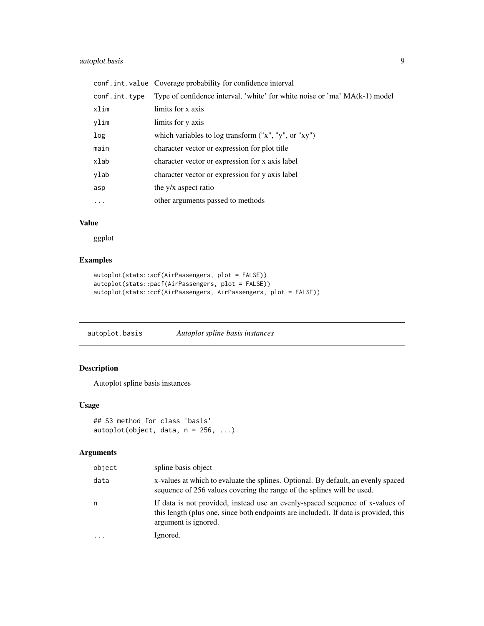# <span id="page-8-0"></span>autoplot.basis 9

|               | conf.int.value Coverage probability for confidence interval                |
|---------------|----------------------------------------------------------------------------|
| conf.int.type | Type of confidence interval, 'white' for white noise or 'ma' MA(k-1) model |
| xlim          | limits for x axis                                                          |
| ylim          | limits for y axis                                                          |
| log           | which variables to log transform $("x", "y", or "xy")$                     |
| main          | character vector or expression for plot title                              |
| xlab          | character vector or expression for x axis label                            |
| ylab          | character vector or expression for y axis label                            |
| asp           | the y/x aspect ratio                                                       |
| $\ddots$      | other arguments passed to methods                                          |
|               |                                                                            |

# Value

ggplot

# Examples

```
autoplot(stats::acf(AirPassengers, plot = FALSE))
autoplot(stats::pacf(AirPassengers, plot = FALSE))
autoplot(stats::ccf(AirPassengers, AirPassengers, plot = FALSE))
```
autoplot.basis *Autoplot spline basis instances*

#### Description

Autoplot spline basis instances

#### Usage

```
## S3 method for class 'basis'
autoplot(object, data, n = 256, ...)
```

| object    | spline basis object                                                                                                                                                                           |
|-----------|-----------------------------------------------------------------------------------------------------------------------------------------------------------------------------------------------|
| data      | x-values at which to evaluate the splines. Optional. By default, an evenly spaced<br>sequence of 256 values covering the range of the splines will be used.                                   |
| n         | If data is not provided, instead use an evenly-spaced sequence of x-values of<br>this length (plus one, since both endpoints are included). If data is provided, this<br>argument is ignored. |
| $\ddotsc$ | Ignored.                                                                                                                                                                                      |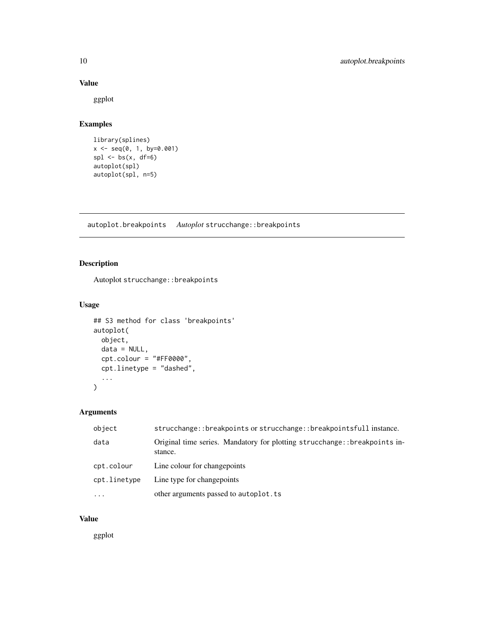#### Value

ggplot

## Examples

```
library(splines)
x <- seq(0, 1, by=0.001)
spl < -bs(x, df=6)autoplot(spl)
autoplot(spl, n=5)
```
autoplot.breakpoints *Autoplot* strucchange::breakpoints

## Description

Autoplot strucchange::breakpoints

#### Usage

```
## S3 method for class 'breakpoints'
autoplot(
 object,
 data = NULL,
 cpt.colour = "#FF0000",cpt.linetype = "dashed",
  ...
)
```
#### Arguments

| object       | strucchange::breakpoints or strucchange::breakpointsfull instance.                    |
|--------------|---------------------------------------------------------------------------------------|
| data         | Original time series. Mandatory for plotting strucchange:: breakpoints in-<br>stance. |
| cpt.colour   | Line colour for change points                                                         |
| cpt.linetype | Line type for changepoints                                                            |
| $\cdots$     | other arguments passed to autoplot. ts                                                |

#### Value

ggplot

<span id="page-9-0"></span>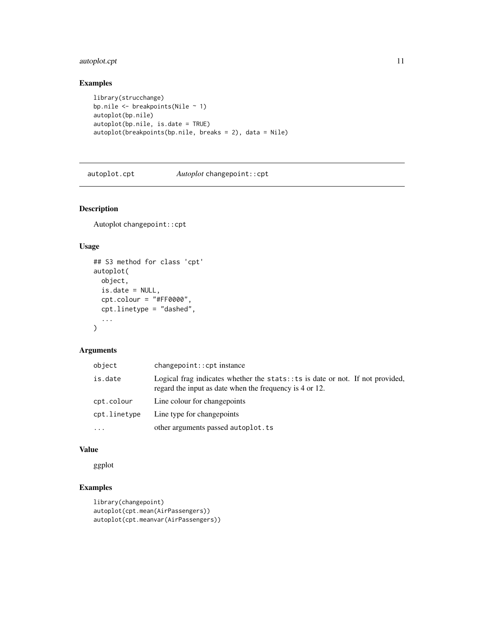#### <span id="page-10-0"></span>autoplot.cpt 11

# Examples

```
library(strucchange)
bp.nile \leq breakpoints(Nile \sim 1)
autoplot(bp.nile)
autoplot(bp.nile, is.date = TRUE)
autoplot(breakpoints(bp.nile, breaks = 2), data = Nile)
```
autoplot.cpt *Autoplot* changepoint::cpt

# Description

Autoplot changepoint::cpt

#### Usage

```
## S3 method for class 'cpt'
autoplot(
  object,
  is.date = NULL,
  cpt.colour = "#FF0000",
  cpt.linetype = "dashed",
  ...
\mathcal{L}
```
#### Arguments

| object       | $changepoint::cpt$ instance                                                                                                                |
|--------------|--------------------------------------------------------------------------------------------------------------------------------------------|
| is.date      | Logical frag indicates whether the stats: : ts is date or not. If not provided,<br>regard the input as date when the frequency is 4 or 12. |
| cpt.colour   | Line colour for change points                                                                                                              |
| cpt.linetype | Line type for changepoints                                                                                                                 |
| $\ddotsc$    | other arguments passed autoplot.ts                                                                                                         |

#### Value

ggplot

# Examples

```
library(changepoint)
autoplot(cpt.mean(AirPassengers))
autoplot(cpt.meanvar(AirPassengers))
```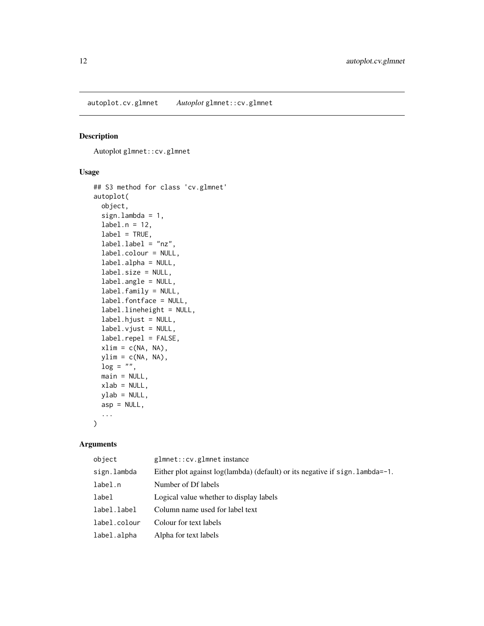<span id="page-11-0"></span>autoplot.cv.glmnet *Autoplot* glmnet::cv.glmnet

#### Description

Autoplot glmnet::cv.glmnet

#### Usage

```
## S3 method for class 'cv.glmnet'
autoplot(
  object,
  sign.lambda = 1,
  label.n = 12,label = TRUE,label.label = "nz",
  label.colour = NULL,
  label.alpha = NULL,
  label.size = NULL,
  label.angle = NULL,
  label.family = NULL,
  label.fontface = NULL,
  label.lineheight = NULL,
  label.hjust = NULL,
  label.vjust = NULL,
  label.repel = FALSE,
  xlim = c(NA, NA),
 ylim = c(NA, NA),
 \log = "".main = NULL,
 xlab = NULL,
 ylab = NULL,
  asp = NULL,...
)
```

| object       | glmnet:: cv.glmnet instance                                                     |
|--------------|---------------------------------------------------------------------------------|
| sign.lambda  | Either plot against $log(lambda)$ (default) or its negative if sign. lambda=-1. |
| label.n      | Number of Df labels                                                             |
| label        | Logical value whether to display labels                                         |
| label.label  | Column name used for label text                                                 |
| label.colour | Colour for text labels                                                          |
| label.alpha  | Alpha for text labels                                                           |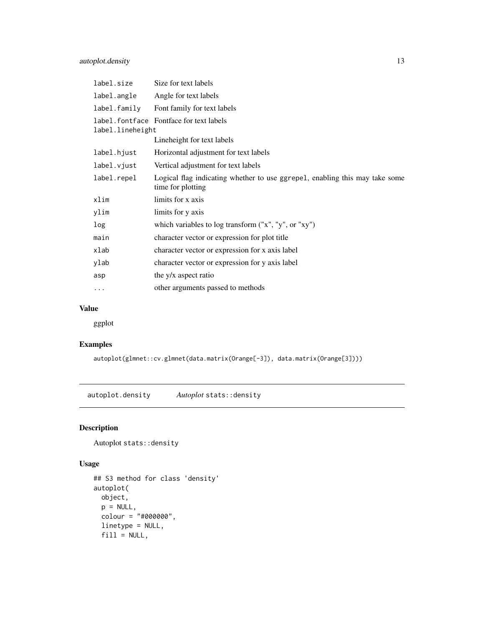# <span id="page-12-0"></span>autoplot.density 13

| label.size       | Size for text labels                                                                             |
|------------------|--------------------------------------------------------------------------------------------------|
| label.angle      | Angle for text labels                                                                            |
| label.family     | Font family for text labels                                                                      |
| label.lineheight | label. font face Fontface for text labels                                                        |
|                  | Lineheight for text labels                                                                       |
| label.hjust      | Horizontal adjustment for text labels                                                            |
| label.vjust      | Vertical adjustment for text labels                                                              |
| label.repel      | Logical flag indicating whether to use ggrepel, enabling this may take some<br>time for plotting |
| xlim             | limits for x axis                                                                                |
| ylim             | limits for y axis                                                                                |
| log              | which variables to log transform ("x", "y", or "xy")                                             |
| main             | character vector or expression for plot title                                                    |
| xlab             | character vector or expression for x axis label                                                  |
| ylab             | character vector or expression for y axis label                                                  |
| asp              | the y/x aspect ratio                                                                             |
| $\cdots$         | other arguments passed to methods                                                                |
|                  |                                                                                                  |

# Value

ggplot

# Examples

autoplot(glmnet::cv.glmnet(data.matrix(Orange[-3]), data.matrix(Orange[3])))

autoplot.density *Autoplot* stats::density

# Description

Autoplot stats::density

```
## S3 method for class 'density'
autoplot(
 object,
 p = NULL,colour = "#000000",
 linetype = NULL,
 fill = NULL,
```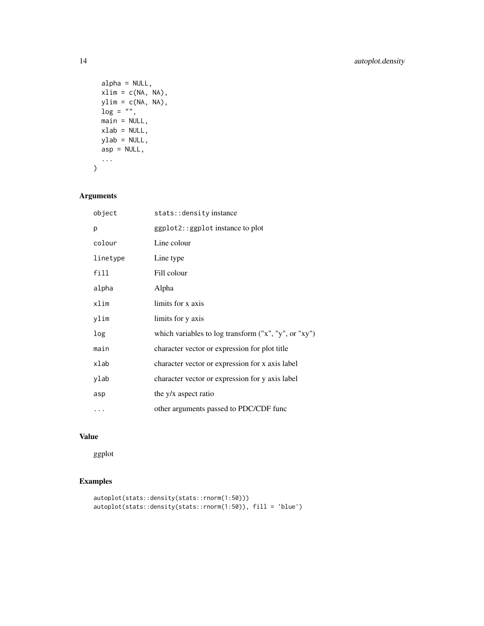```
alpha = NULL,xlim = c(NA, NA),
 ylim = c(NA, NA),
 log = "".main = NULL,xlab = NULL,ylab = NULL,
 asp = NULL,...
\mathcal{L}
```
# Arguments

| object   | stats:: density instance                               |
|----------|--------------------------------------------------------|
| р        | ggplot2::ggplot instance to plot                       |
| colour   | Line colour                                            |
| linetype | Line type                                              |
| fill     | Fill colour                                            |
| alpha    | Alpha                                                  |
| xlim     | limits for x axis                                      |
| ylim     | limits for y axis                                      |
| log      | which variables to log transform $("x", "y", or "xy")$ |
| main     | character vector or expression for plot title          |
| xlab     | character vector or expression for x axis label        |
| ylab     | character vector or expression for y axis label        |
| asp      | the y/x aspect ratio                                   |
| .        | other arguments passed to PDC/CDF func                 |

# Value

ggplot

# Examples

```
autoplot(stats::density(stats::rnorm(1:50)))
autoplot(stats::density(stats::rnorm(1:50)), fill = 'blue')
```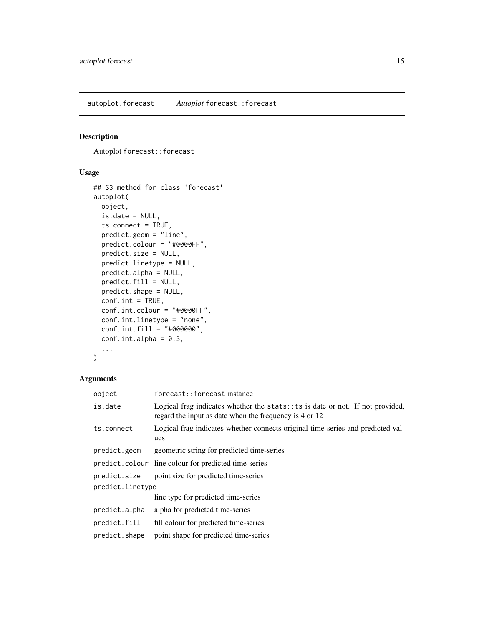<span id="page-14-0"></span>autoplot.forecast *Autoplot* forecast::forecast

#### Description

Autoplot forecast::forecast

# Usage

```
## S3 method for class 'forecast'
autoplot(
 object,
  is.date = NULL,
  ts.connect = TRUE,
 predict.geom = "line",
 predict.colour = "#0000FF",
 predict.size = NULL,
 predict.linetype = NULL,
 predict.alpha = NULL,
 predict.fill = NULL,
 predict.shape = NULL,
 conf.int = TRUE,conf.int.colour = "#0000FF",
 conf.int.linetype = "none",
  conf.int.fill = "#000000",
  conf.int.alpha = 0.3,...
\mathcal{L}
```

| object           | forecast::forecastinstance                                                                                                                 |  |
|------------------|--------------------------------------------------------------------------------------------------------------------------------------------|--|
| is.date          | Logical frag indicates whether the stats: $:ts$ is date or not. If not provided,<br>regard the input as date when the frequency is 4 or 12 |  |
| ts.connect       | Logical frag indicates whether connects original time-series and predicted val-<br>ues                                                     |  |
| predict.geom     | geometric string for predicted time-series                                                                                                 |  |
|                  | predict.colour line colour for predicted time-series                                                                                       |  |
| predict.size     | point size for predicted time-series                                                                                                       |  |
| predict.linetype |                                                                                                                                            |  |
|                  | line type for predicted time-series                                                                                                        |  |
| predict.alpha    | alpha for predicted time-series                                                                                                            |  |
| predict.fill     | fill colour for predicted time-series                                                                                                      |  |
| predict.shape    | point shape for predicted time-series                                                                                                      |  |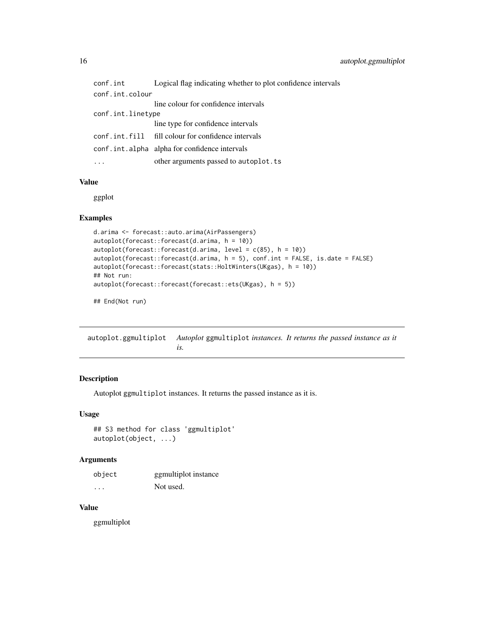<span id="page-15-0"></span>

| conf.int          | Logical flag indicating whether to plot confidence intervals |
|-------------------|--------------------------------------------------------------|
| conf.int.colour   |                                                              |
|                   | line colour for confidence intervals                         |
| conf.int.linetype |                                                              |
|                   | line type for confidence intervals                           |
|                   | conf.int.fill fill colour for confidence intervals           |
|                   | conf.int.alpha alpha for confidence intervals                |
| $\cdots$          | other arguments passed to autoplot. ts                       |

# Value

ggplot

#### Examples

```
d.arima <- forecast::auto.arima(AirPassengers)
autoplot(forecast::forecast(d.arima, h = 10))
autoplot(forecast::forecast(d<u>.arima, level = c(85), h = 10)</u>
autoplot(forecast::forecast(d.arima, h = 5), conf.int = FALSE, is.data = FALSE)autoplot(forecast::forecast(stats::HoltWinters(UKgas), h = 10))
## Not run:
autoplot(forecast::forecast(forecast::ets(UKgas), h = 5))
```
## End(Not run)

autoplot.ggmultiplot *Autoplot* ggmultiplot *instances. It returns the passed instance as it is.*

#### Description

Autoplot ggmultiplot instances. It returns the passed instance as it is.

#### Usage

```
## S3 method for class 'ggmultiplot'
autoplot(object, ...)
```
#### Arguments

| object | ggmultiplot instance |
|--------|----------------------|
| .      | Not used.            |

#### Value

ggmultiplot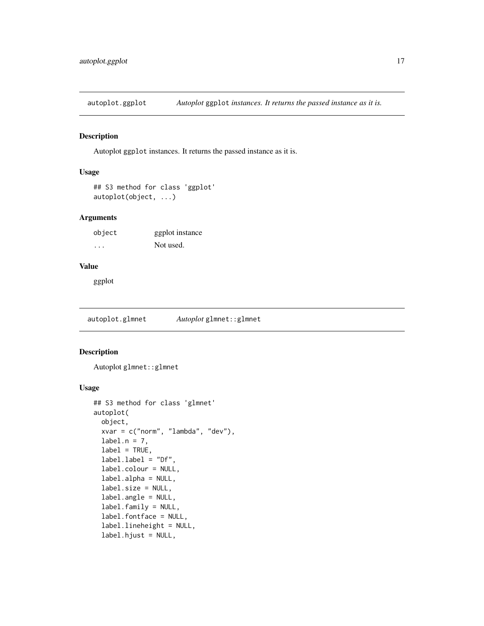<span id="page-16-0"></span>autoplot.ggplot *Autoplot* ggplot *instances. It returns the passed instance as it is.*

#### Description

Autoplot ggplot instances. It returns the passed instance as it is.

#### Usage

```
## S3 method for class 'ggplot'
autoplot(object, ...)
```
#### Arguments

| object  | ggplot instance |
|---------|-----------------|
| $\cdot$ | Not used.       |

#### Value

ggplot

autoplot.glmnet *Autoplot* glmnet::glmnet

## Description

Autoplot glmnet::glmnet

```
## S3 method for class 'glmnet'
autoplot(
 object,
  xvar = c("norm", "lambda", "dev"),
 label.n = 7,label = TRUE,label.label = "Df",
  label.colour = NULL,
  label.alpha = NULL,
  label.size = NULL,
  label.angle = NULL,
  label.family = NULL,
  label.fontface = NULL,
  label.lineheight = NULL,
  label.hjust = NULL,
```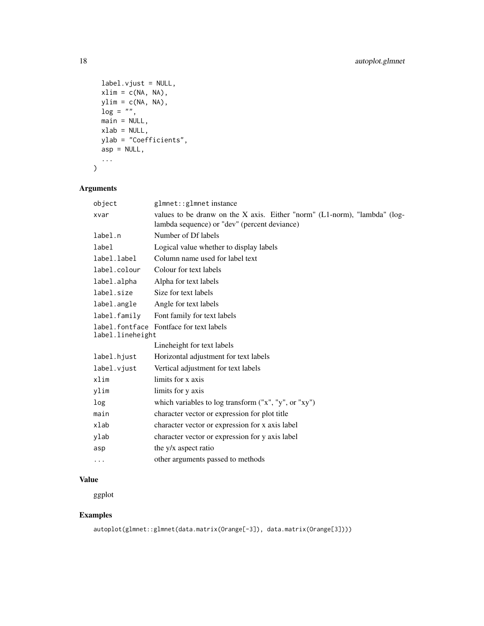```
label.vjust = NULL,
 xlim = c(NA, NA),
 ylim = c(NA, NA),log = "".main = NULL,
 xlab = NULL,ylab = "Coefficients",
 asp = NULL,...
\mathcal{L}
```
# Arguments

| object           | glmnet::glmnetinstance                                                                                                    |
|------------------|---------------------------------------------------------------------------------------------------------------------------|
| xvar             | values to be dranw on the X axis. Either "norm" (L1-norm), "lambda" (log-<br>lambda sequence) or "dev" (percent deviance) |
| label.n          | Number of Df labels                                                                                                       |
| label            | Logical value whether to display labels                                                                                   |
| label.label      | Column name used for label text                                                                                           |
| label.colour     | Colour for text labels                                                                                                    |
| label.alpha      | Alpha for text labels                                                                                                     |
| label.size       | Size for text labels                                                                                                      |
| label.angle      | Angle for text labels                                                                                                     |
| label.family     | Font family for text labels                                                                                               |
| label.lineheight | label. font face Fontface for text labels                                                                                 |
|                  | Lineheight for text labels                                                                                                |
| label.hjust      | Horizontal adjustment for text labels                                                                                     |
| label.vjust      | Vertical adjustment for text labels                                                                                       |
| xlim             | limits for x axis                                                                                                         |
| ylim             | limits for y axis                                                                                                         |
| log              | which variables to log transform ("x", "y", or "xy")                                                                      |
| main             | character vector or expression for plot title                                                                             |
| xlab             | character vector or expression for x axis label                                                                           |
| ylab             | character vector or expression for y axis label                                                                           |
| asp              | the y/x aspect ratio                                                                                                      |
| $\cdots$         | other arguments passed to methods                                                                                         |

#### Value

ggplot

# Examples

```
autoplot(glmnet::glmnet(data.matrix(Orange[-3]), data.matrix(Orange[3])))
```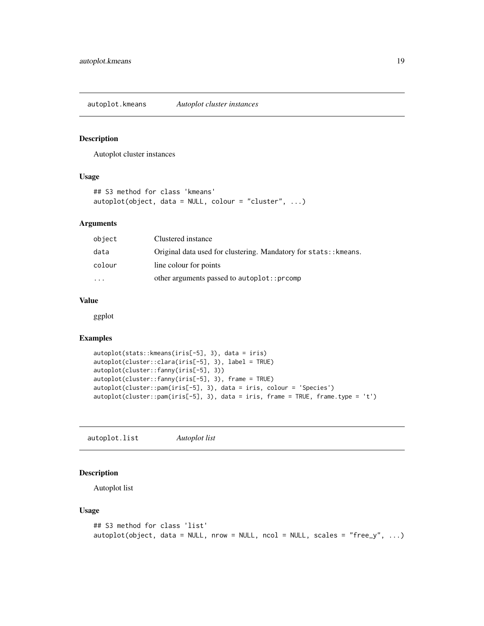<span id="page-18-0"></span>autoplot.kmeans *Autoplot cluster instances*

#### Description

Autoplot cluster instances

#### Usage

```
## S3 method for class 'kmeans'
autoplot(object, data = NULL, colour = "cluster", ...)
```
#### Arguments

| object    | Clustered instance                                               |
|-----------|------------------------------------------------------------------|
| data      | Original data used for clustering. Mandatory for stats:: kmeans. |
| colour    | line colour for points                                           |
| $\ddotsc$ | other arguments passed to autoplot::prcomp                       |

#### Value

ggplot

#### Examples

```
autoplot(stats::kmeans(iris[-5], 3), data = iris)
autoplot(cluster::clara(iris[-5], 3), label = TRUE)
autoplot(cluster::fanny(iris[-5], 3))
autoplot(cluster::fanny(iris[-5], 3), frame = TRUE)
autoplot(cluster::pam(iris[-5], 3), data = iris, colour = 'Species')
autoplot(cluster::pam(iris[-5], 3), data = iris, frame = TRUE, frame.type = 't')
```
autoplot.list *Autoplot list*

#### Description

Autoplot list

```
## S3 method for class 'list'
autoplot(object, data = NULL, nrow = NULL, ncol = NULL, scales = "free_y", ...)
```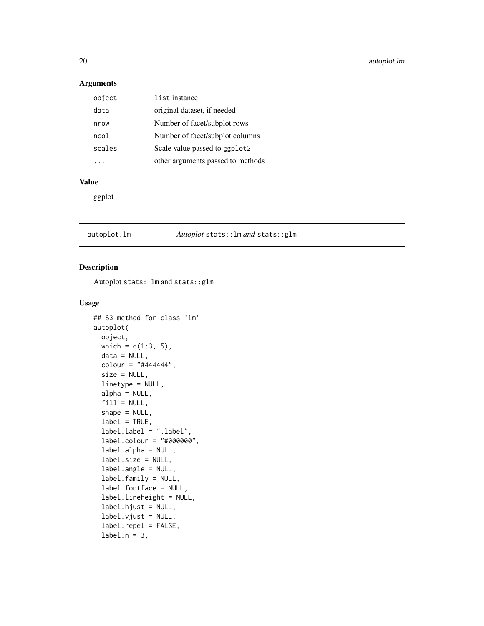#### <span id="page-19-0"></span>Arguments

| object | list instance                     |
|--------|-----------------------------------|
| data   | original dataset, if needed       |
| nrow   | Number of facet/subplot rows      |
| ncol   | Number of facet/subplot columns   |
| scales | Scale value passed to ggplot2     |
|        | other arguments passed to methods |

#### Value

ggplot

# autoplot.lm *Autoplot* stats::lm *and* stats::glm

#### Description

Autoplot stats::lm and stats::glm

```
## S3 method for class 'lm'
autoplot(
 object,
 which = c(1:3, 5),
 data = NULL,
  colour = "#444444",
  size = NULL,
  linetype = NULL,
  alpha = NULL,
  fill = NULL,shape = NULL,
  label = TRUE,label.label = ".label",
  label.colour = "#000000",
  label.alpha = NULL,
  label.size = NULL,
  label.angle = NULL,
  label.family = NULL,
  label.fontface = NULL,
  label.lineheight = NULL,
  label.hjust = NULL,
  label.vjust = NULL,
  label.repel = FALSE,
  label.n = 3,
```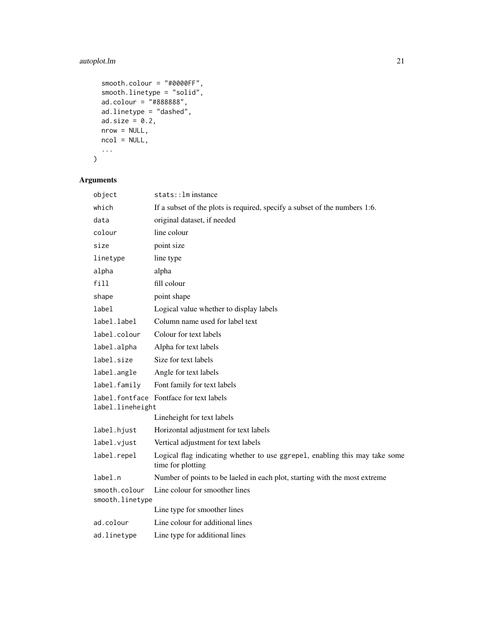# autoplot.lm 21

```
smooth.colour = "#0000FF",
  smooth.linetype = "solid",
 ad.colour = "#888888",
 ad.linetype = "dashed",
 ad.size = 0.2,
 nrow = NULL,
 ncol = NULL,
  ...
\mathcal{L}
```

| object                           | stats:: lm instance                                                                              |
|----------------------------------|--------------------------------------------------------------------------------------------------|
| which                            | If a subset of the plots is required, specify a subset of the numbers 1:6.                       |
| data                             | original dataset, if needed                                                                      |
| colour                           | line colour                                                                                      |
| size                             | point size                                                                                       |
| linetype                         | line type                                                                                        |
| alpha                            | alpha                                                                                            |
| fill                             | fill colour                                                                                      |
| shape                            | point shape                                                                                      |
| label                            | Logical value whether to display labels                                                          |
| label.label                      | Column name used for label text                                                                  |
| label.colour                     | Colour for text labels                                                                           |
| label.alpha                      | Alpha for text labels                                                                            |
| label.size                       | Size for text labels                                                                             |
| label.angle                      | Angle for text labels                                                                            |
| label.family                     | Font family for text labels                                                                      |
| label.lineheight                 | label.fontface Fontface for text labels                                                          |
|                                  | Lineheight for text labels                                                                       |
| label.hjust                      | Horizontal adjustment for text labels                                                            |
| label.vjust                      | Vertical adjustment for text labels                                                              |
| label.repel                      | Logical flag indicating whether to use ggrepel, enabling this may take some<br>time for plotting |
| label.n                          | Number of points to be laeled in each plot, starting with the most extreme                       |
| smooth.colour<br>smooth.linetype | Line colour for smoother lines                                                                   |
|                                  | Line type for smoother lines                                                                     |
| ad.colour                        | Line colour for additional lines                                                                 |
| ad.linetype                      | Line type for additional lines                                                                   |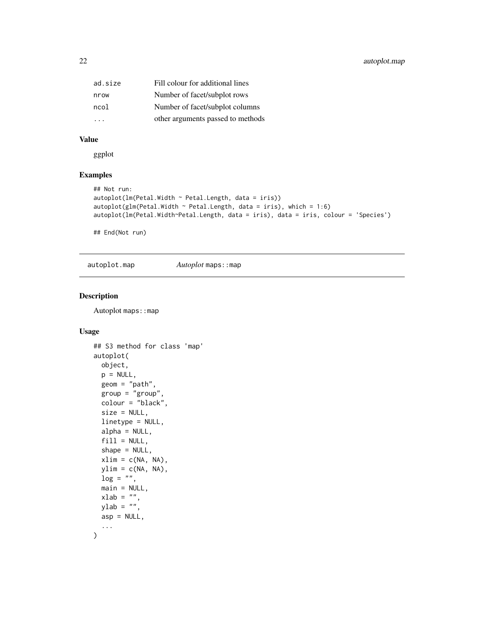<span id="page-21-0"></span>

| ad.size              | Fill colour for additional lines  |
|----------------------|-----------------------------------|
| nrow                 | Number of facet/subplot rows      |
| ncol                 | Number of facet/subplot columns   |
| $\sim$ $\sim$ $\sim$ | other arguments passed to methods |

## Value

ggplot

#### Examples

```
## Not run:
autoplot(lm(Petal.Width ~ Petal.Length, data = iris))autoplot(glm(Petal.Width ~ Petal.Length, data = iris), which = 1:6)autoplot(lm(Petal.Width~Petal.Length, data = iris), data = iris, colour = 'Species')
```
## End(Not run)

autoplot.map *Autoplot* maps::map

#### Description

Autoplot maps:: map

```
## S3 method for class 'map'
autoplot(
 object,
 p = NULL,geom = "path",
 group = "group",
 colour = "black",
 size = NULL,
 linetype = NULL,
  alpha = NULL,
 fill = NULL,shape = NULL,xlim = c(NA, NA),
 ylim = c(NA, NA),
 log = "",main = NULL,xlab = ",
 vlab = "".asp = NULL,...
\mathcal{L}
```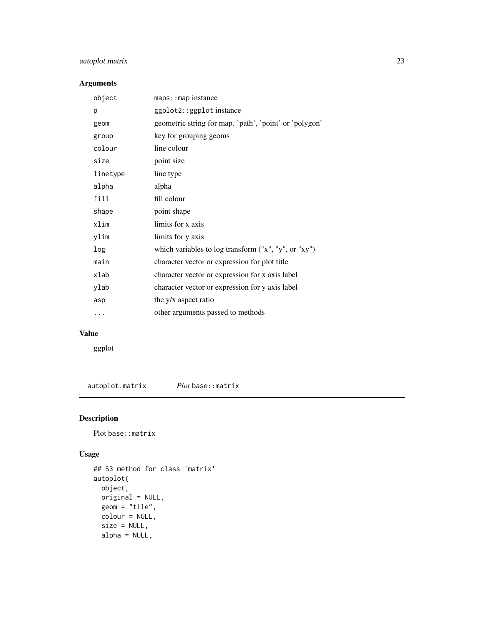# <span id="page-22-0"></span>autoplot.matrix 23

# Arguments

| object   | $maps::map$ instance                                   |
|----------|--------------------------------------------------------|
| p        | ggplot2::ggplot instance                               |
| geom     | geometric string for map. 'path', 'point' or 'polygon' |
| group    | key for grouping geoms                                 |
| colour   | line colour                                            |
| size     | point size                                             |
| linetype | line type                                              |
| alpha    | alpha                                                  |
| fill     | fill colour                                            |
| shape    | point shape                                            |
| xlim     | limits for x axis                                      |
| ylim     | limits for y axis                                      |
| log      | which variables to log transform $("x", "y", or "xy")$ |
| main     | character vector or expression for plot title          |
| xlab     | character vector or expression for x axis label        |
| ylab     | character vector or expression for y axis label        |
| asp      | the y/x aspect ratio                                   |
|          | other arguments passed to methods                      |
|          |                                                        |

# Value

ggplot

autoplot.matrix *Plot* base::matrix

# Description

Plot base::matrix

```
## S3 method for class 'matrix'
autoplot(
 object,
 original = NULL,
 geom = "tile",colour = NULL,
 size = NULL,
 alpha = NULL,
```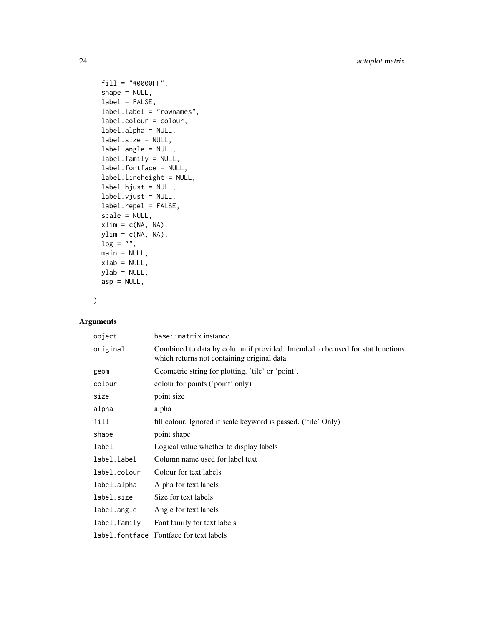```
fill = "#0000FF",
  shape = NULL,
  label = FALSE,label.label = "rownames",
  label.colour = colour,
  label.alpha = NULL,
  label.size = NULL,
  label.angle = NULL,
  label.family = NULL,
  label.fontface = NULL,
  label.lineheight = NULL,
  label.hjust = NULL,
  label.vjust = NULL,
  label.repel = FALSE,
  scale = NULL,
  xlim = c(NA, NA),
 ylim = c(NA, NA),
  \log = "".main = NULL,xlab = NULL,
 ylab = NULL,
  asp = NULL,...
\mathcal{L}
```

| object       | base::matrixinstance                                                                                                          |
|--------------|-------------------------------------------------------------------------------------------------------------------------------|
| original     | Combined to data by column if provided. Intended to be used for stat functions<br>which returns not containing original data. |
| geom         | Geometric string for plotting. 'tile' or 'point'.                                                                             |
| colour       | colour for points ('point' only)                                                                                              |
| size         | point size                                                                                                                    |
| alpha        | alpha                                                                                                                         |
| fill         | fill colour. Ignored if scale keyword is passed. ('tile' Only)                                                                |
| shape        | point shape                                                                                                                   |
| label        | Logical value whether to display labels                                                                                       |
| label.label  | Column name used for label text                                                                                               |
| label.colour | Colour for text labels                                                                                                        |
| label.alpha  | Alpha for text labels                                                                                                         |
| label.size   | Size for text labels                                                                                                          |
| label.angle  | Angle for text labels                                                                                                         |
| label.family | Font family for text labels                                                                                                   |
|              | label. font face Fontface for text labels                                                                                     |
|              |                                                                                                                               |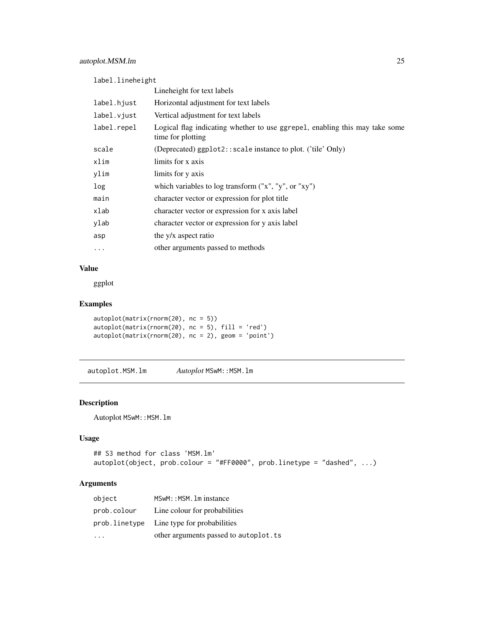<span id="page-24-0"></span>label.lineheight

|             | Lineheight for text labels                                                                       |
|-------------|--------------------------------------------------------------------------------------------------|
| label.hjust | Horizontal adjustment for text labels                                                            |
| label.vjust | Vertical adjustment for text labels                                                              |
| label.repel | Logical flag indicating whether to use ggrepel, enabling this may take some<br>time for plotting |
| scale       | (Deprecated) ggplot2::scale instance to plot. ('tile' Only)                                      |
| xlim        | limits for x axis                                                                                |
| ylim        | limits for y axis                                                                                |
| log         | which variables to log transform $("x", "y", or "xy")$                                           |
| main        | character vector or expression for plot title                                                    |
| xlab        | character vector or expression for x axis label                                                  |
| ylab        | character vector or expression for y axis label                                                  |
| asp         | the y/x aspect ratio                                                                             |
| $\ddotsc$   | other arguments passed to methods                                                                |
|             |                                                                                                  |

#### Value

ggplot

# Examples

```
autoplot(matrix(rnorm(20), nc = 5))
autoplot(matrix(rnorm(20), nc = 5), fill = 'red')
autoplot(matrix(rnorm(20), nc = 2), geom = 'point')
```
autoplot.MSM.lm *Autoplot* MSwM::MSM.lm

#### Description

Autoplot MSwM:: MSM. 1m

#### Usage

```
## S3 method for class 'MSM.lm'
autoplot(object, prob.colour = "#FF0000", prob.linetype = "dashed", ...)
```

| object      | MSwM:: MSM. 1m instance                    |
|-------------|--------------------------------------------|
| prob.colour | Line colour for probabilities              |
|             | prob. linetype Line type for probabilities |
|             | other arguments passed to autoplot. ts     |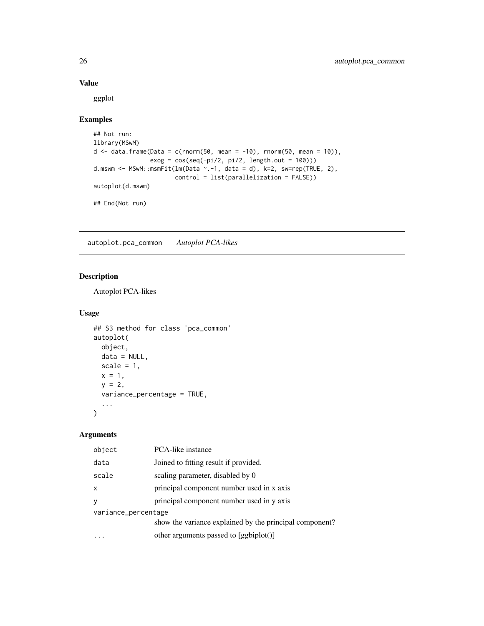#### Value

ggplot

# Examples

```
## Not run:
library(MSwM)
d \leq - data.frame(Data = c(rnorm(50, mean = -10), rnorm(50, mean = 10)),
                exog = cos(seq(-pi/2, pi/2, length.out = 100)))d.mswm <- MSwM::msmFit(lm(Data ~.-1, data = d), k=2, sw=rep(TRUE, 2),
                      control = list(parallelization = FALSE))
autoplot(d.mswm)
## End(Not run)
```
autoplot.pca\_common *Autoplot PCA-likes*

#### Description

Autoplot PCA-likes

#### Usage

```
## S3 method for class 'pca_common'
autoplot(
 object,
 data = NULL,
 scale = 1,
 x = 1,
 y = 2,
 variance_percentage = TRUE,
  ...
)
```

| object              | <b>PCA-like instance</b>                                |  |
|---------------------|---------------------------------------------------------|--|
| data                | Joined to fitting result if provided.                   |  |
| scale               | scaling parameter, disabled by 0                        |  |
| X                   | principal component number used in x axis               |  |
| y                   | principal component number used in y axis               |  |
| variance_percentage |                                                         |  |
|                     | show the variance explained by the principal component? |  |
|                     | other arguments passed to [ggbiplot()]                  |  |

<span id="page-25-0"></span>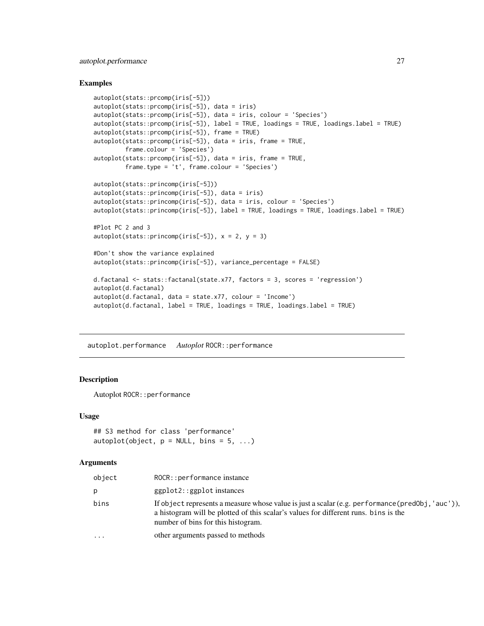#### <span id="page-26-0"></span>Examples

```
autoplot(stats::prcomp(iris[-5]))
autoplot(stats::prcomp(iris[-5]), data = iris)
autoplot(stats::prcomp(iris[-5]), data = iris, colour = 'Species')
autoplot(stats::prcomp(iris[-5]), label = TRUE, loadings = TRUE, loadings.label = TRUE)
autoplot(stats::prcomp(iris[-5]), frame = TRUE)
autoplot(stats::prcomp(iris[-5]), data = iris, frame = TRUE,
         frame.colour = 'Species')
autoplot(stats::prcomp(iris[-5]), data = iris, frame = TRUE,
        frame.type = 't', frame.colour = 'Species')
autoplot(stats::princomp(iris[-5]))
autoplot(stats::princomp(iris[-5]), data = iris)
autoplot(stats::princomp(iris[-5]), data = iris, colour = 'Species')
autoplot(stats::princomp(iris[-5]), label = TRUE, loadings = TRUE, loadings.label = TRUE)
#Plot PC 2 and 3
autoplot(stats::princomp(iris[-5]), x = 2, y = 3)#Don't show the variance explained
autoplot(stats::princomp(iris[-5]), variance_percentage = FALSE)
d.factanal <- stats::factanal(state.x77, factors = 3, scores = 'regression')
autoplot(d.factanal)
autoplot(d.factanal, data = state.x77, colour = 'Income')
autoplot(d.factanal, label = TRUE, loadings = TRUE, loadings.label = TRUE)
```
autoplot.performance *Autoplot* ROCR::performance

#### **Description**

Autoplot ROCR:: performance

#### Usage

```
## S3 method for class 'performance'
autoplot(object, p = NULL, bins = 5, ...)
```

| object    | ROCR:: performance instance                                                                                                                                                                                                   |
|-----------|-------------------------------------------------------------------------------------------------------------------------------------------------------------------------------------------------------------------------------|
| р         | $ggplot2$ : $ggplot$ instances                                                                                                                                                                                                |
| bins      | If object represents a measure whose value is just a scalar (e.g. performance (predObj, 'auc')),<br>a histogram will be plotted of this scalar's values for different runs, bins is the<br>number of bins for this histogram. |
| $\ddotsc$ | other arguments passed to methods                                                                                                                                                                                             |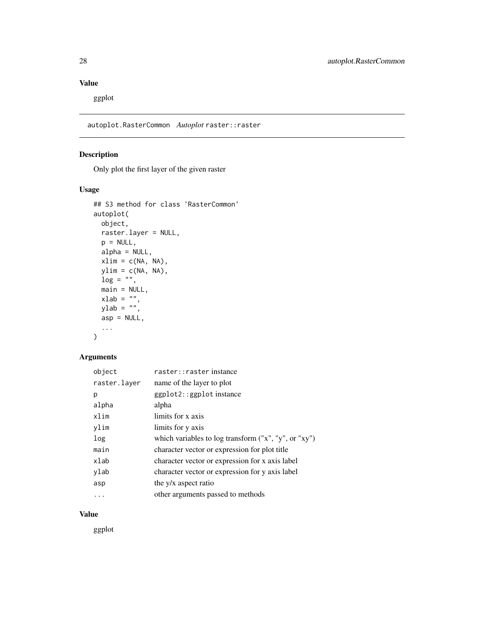# <span id="page-27-0"></span>Value

ggplot

autoplot.RasterCommon *Autoplot* raster::raster

# Description

Only plot the first layer of the given raster

### Usage

```
## S3 method for class 'RasterCommon'
autoplot(
 object,
 raster.layer = NULL,
 p = NULL,alpha = NULL,xlim = c(NA, NA),
 ylim = c(NA, NA),
 log = "",main = NULL,
  xlab = ",
  ylab = "",asp = NULL,...
\mathcal{L}
```
#### Arguments

| object       | raster:: raster instance                             |
|--------------|------------------------------------------------------|
| raster.layer | name of the layer to plot                            |
| р            | ggplot2::ggplot instance                             |
| alpha        | alpha                                                |
| xlim         | limits for x axis                                    |
| vlim         | limits for y axis                                    |
| log          | which variables to log transform ("x", "y", or "xy") |
| main         | character vector or expression for plot title        |
| xlab         | character vector or expression for x axis label      |
| ylab         | character vector or expression for y axis label      |
| asp          | the y/x aspect ratio                                 |
| .            | other arguments passed to methods                    |

# Value

ggplot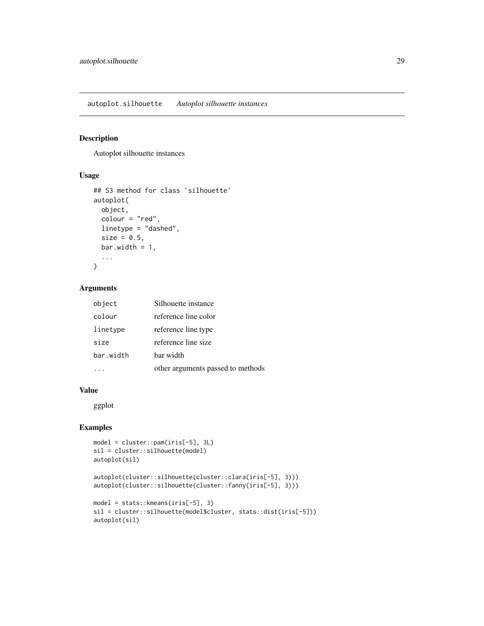<span id="page-28-0"></span>autoplot.silhouette *Autoplot silhouette instances*

#### Description

Autoplot silhouette instances

#### Usage

```
## S3 method for class 'silhouette'
autoplot(
  object,
  colour = "red",
  linetype = "dashed",
  size = 0.5,
  bar.width = 1,
  ...
\mathcal{L}
```
#### Arguments

| object    | Silhouette instance               |
|-----------|-----------------------------------|
| colour    | reference line color              |
| linetype  | reference line type               |
| size      | reference line size               |
| bar.width | bar width                         |
|           | other arguments passed to methods |

#### Value

ggplot

#### Examples

```
model = cluster::pam(iris[-5], 3L)
sil = cluster::silhouette(model)
autoplot(sil)
autoplot(cluster::silhouette(cluster::clara(iris[-5], 3)))
autoplot(cluster::silhouette(cluster::fanny(iris[-5], 3)))
model = stats::kmeans(iris[-5], 3)
sil = cluster::silhouette(model$cluster, stats::dist(iris[-5]))
autoplot(sil)
```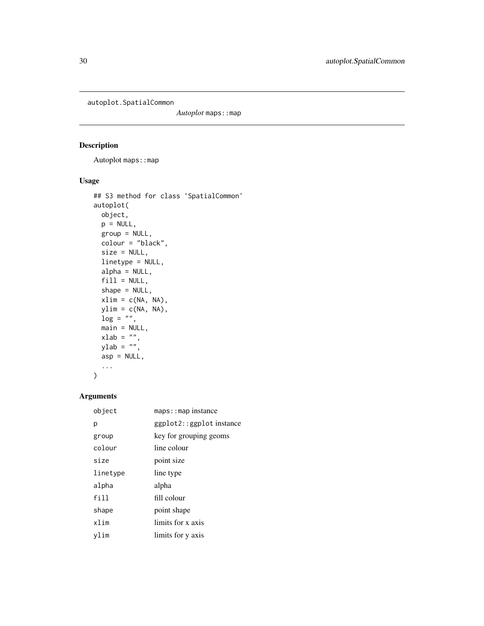<span id="page-29-0"></span>autoplot.SpatialCommon

Autoplot maps: : map

# Description

Autoplot maps: : map

## Usage

```
## S3 method for class 'SpatialCommon'
autoplot(
 object,
 p = NULL,group = NULL,
 colour = "black",
 size = NULL,
 linetype = NULL,
 alpha = NULL,
 fill = NULL,shape = NULL,
 xlim = c(NA, NA),
 ylim = c(NA, NA),
 \log = "".main = NULL,
  xlab = ",
  ylab = "",asp = NULL,...
)
```

| object   | $maps:map$ instance      |
|----------|--------------------------|
| р        | ggplot2::ggplot instance |
| group    | key for grouping geoms   |
| colour   | line colour              |
| size     | point size               |
| linetype | line type                |
| alpha    | alpha                    |
| fill     | fill colour              |
| shape    | point shape              |
| xlim     | limits for x axis        |
| vlim     | limits for y axis        |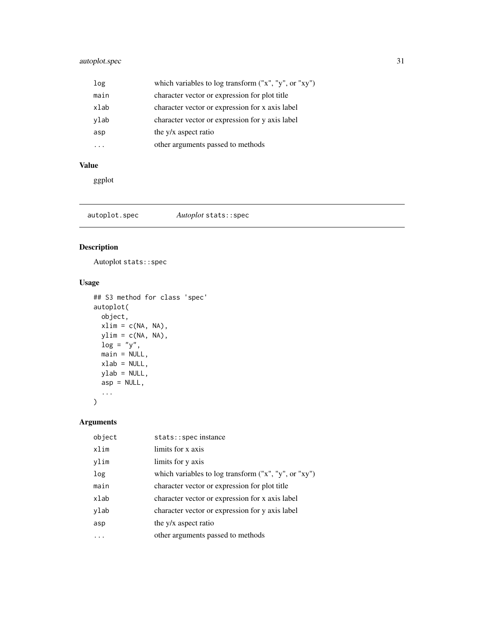# <span id="page-30-0"></span>autoplot.spec 31

| log  | which variables to log transform ("x", "y", or "xy") |
|------|------------------------------------------------------|
| main | character vector or expression for plot title        |
| xlab | character vector or expression for x axis label      |
| ylab | character vector or expression for y axis label      |
| asp  | the y/x aspect ratio                                 |
|      | other arguments passed to methods                    |

# Value

ggplot

autoplot.spec *Autoplot* stats::spec

#### Description

Autoplot stats::spec

# Usage

```
## S3 method for class 'spec'
autoplot(
 object,
 xlim = c(NA, NA),
 ylim = c(NA, NA),
 log = "y",main = NULL,xlab = NULL,
 ylab = NULL,
 asp = NULL,...
\mathcal{L}
```

| object | stats:: spec instance                                  |
|--------|--------------------------------------------------------|
| xlim   | limits for x axis                                      |
| ylim   | limits for y axis                                      |
| log    | which variables to log transform $("x", "y", or "xy")$ |
| main   | character vector or expression for plot title          |
| xlab   | character vector or expression for x axis label        |
| ylab   | character vector or expression for y axis label        |
| asp    | the y/x aspect ratio                                   |
|        | other arguments passed to methods                      |
|        |                                                        |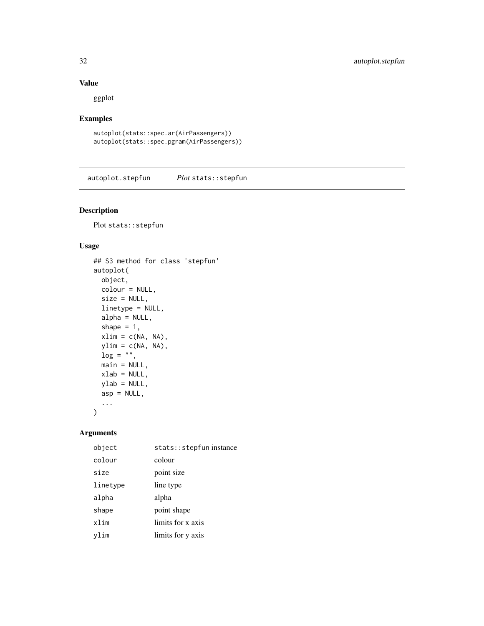### <span id="page-31-0"></span>Value

ggplot

#### Examples

```
autoplot(stats::spec.ar(AirPassengers))
autoplot(stats::spec.pgram(AirPassengers))
```
autoplot.stepfun *Plot* stats::stepfun

# Description

Plot stats::stepfun

## Usage

```
## S3 method for class 'stepfun'
autoplot(
 object,
 colour = NULL,
  size = NULL,
 linetype = NULL,
  alpha = NULL,shape = 1,
 xlim = c(NA, NA),
 ylim = c(NA, NA),
 log = "",main = NULL,
 xlab = NULL,ylab = NULL,
 asp = NULL,...
\mathcal{L}
```

| object   | stats:: stepfun instance |
|----------|--------------------------|
| colour   | colour                   |
| size     | point size               |
| linetype | line type                |
| alpha    | alpha                    |
| shape    | point shape              |
| xlim     | limits for x axis        |
| vlim     | limits for y axis        |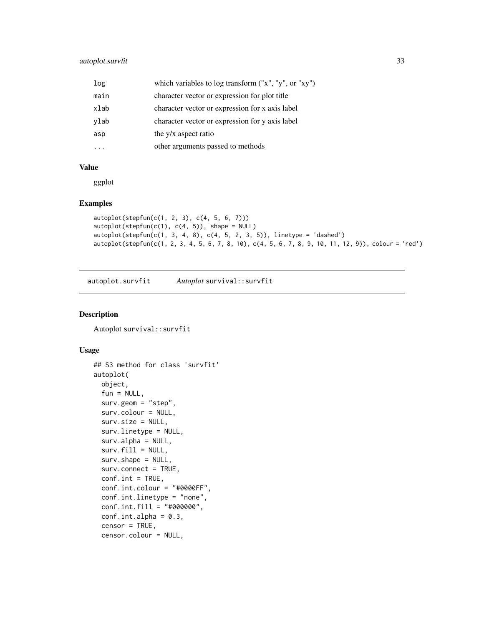#### <span id="page-32-0"></span>autoplot.survfit 33

| log  | which variables to log transform ("x", "y", or "xy") |
|------|------------------------------------------------------|
| main | character vector or expression for plot title        |
| xlab | character vector or expression for x axis label      |
| ylab | character vector or expression for y axis label      |
| asp  | the y/x aspect ratio                                 |
|      | other arguments passed to methods                    |

#### Value

ggplot

#### Examples

```
autoplot(stepfun(c(1, 2, 3), c(4, 5, 6, 7)))
autoplot(stepfun(c(1), c(4, 5)), shape = NULL)autoplot(stepfun(c(1, 3, 4, 8), c(4, 5, 2, 3, 5)), linetype = 'dashed')autoplot(stepfun(c(1, 2, 3, 4, 5, 6, 7, 8, 10), c(4, 5, 6, 7, 8, 9, 10, 11, 12, 9)), colour = 'red')
```
autoplot.survfit *Autoplot* survival::survfit

#### Description

Autoplot survival::survfit

```
## S3 method for class 'survfit'
autoplot(
 object,
 fun = NULL,surv.geom = "step",
  surv.colour = NULL,
 surv.size = NULL,
  surv.linetype = NULL,
 surv.alpha = NULL,
  surv.fill = NULL,surv.shape = NULL,
  surv.connect = TRUE,
 conf.int = TRUE,
 conf.int.colour = "#0000FF",
 conf.int.linetype = "none",
 conf.int.fill = "#000000",conf.int.alpha = 0.3,censor = TRUE,censor.colour = NULL,
```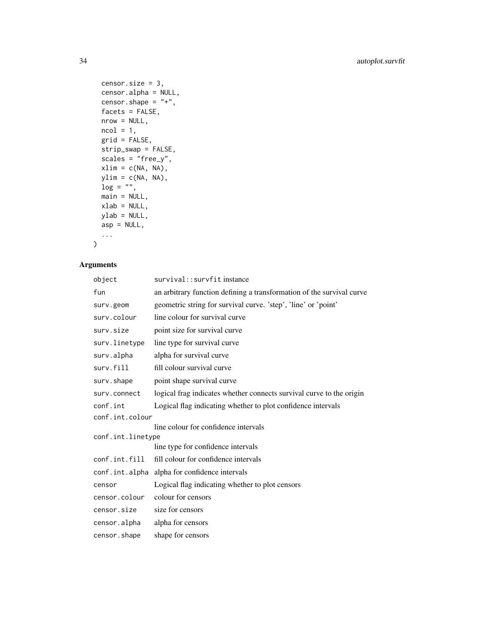```
censor.size = 3,
 censor.alpha = NULL,
 censor.shape = " +",facets = FALSE,
 nrow = NULL,
 ncol = 1,
 grid = FALSE,
 strip_swap = FALSE,
  scales = "free_y",
 xlim = c(NA, NA),ylim = c(NA, NA),
 log = "",main = NULL,
 xlab = NULL,
 ylab = NULL,
 asp = NULL,
  ...
\mathcal{L}
```

| object            | survival:: survfit instance                                           |
|-------------------|-----------------------------------------------------------------------|
| fun               | an arbitrary function defining a transformation of the survival curve |
| surv.geom         | geometric string for survival curve. 'step', 'line' or 'point'        |
| surv.colour       | line colour for survival curve                                        |
| surv.size         | point size for survival curve                                         |
| surv.linetype     | line type for survival curve                                          |
| surv.alpha        | alpha for survival curve                                              |
| surv.fill         | fill colour survival curve                                            |
| surv.shape        | point shape survival curve                                            |
| surv.connect      | logical frag indicates whether connects survival curve to the origin  |
| conf.int          | Logical flag indicating whether to plot confidence intervals          |
| conf.int.colour   |                                                                       |
|                   | line colour for confidence intervals                                  |
| conf.int.linetype |                                                                       |
|                   | line type for confidence intervals                                    |
| conf.int.fill     | fill colour for confidence intervals                                  |
| conf.int.alpha    | alpha for confidence intervals                                        |
| censor            | Logical flag indicating whether to plot censors                       |
| censor.colour     | colour for censors                                                    |
| censor.size       | size for censors                                                      |
| censor.alpha      | alpha for censors                                                     |
| censor.shape      | shape for censors                                                     |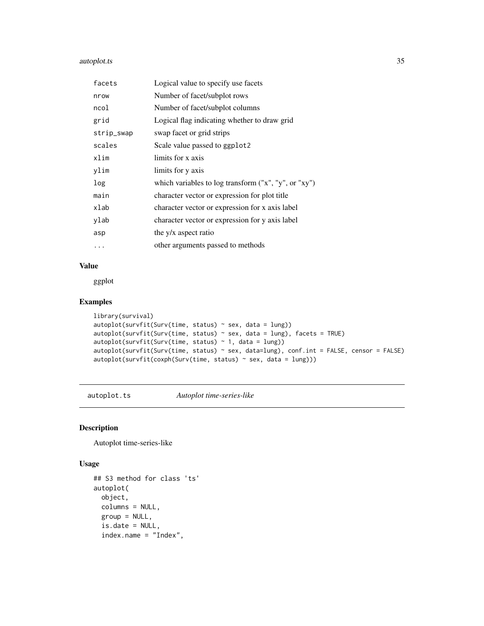#### <span id="page-34-0"></span>autoplot.ts 35

| facets     | Logical value to specify use facets                    |
|------------|--------------------------------------------------------|
| nrow       | Number of facet/subplot rows                           |
| ncol       | Number of facet/subplot columns                        |
| grid       | Logical flag indicating whether to draw grid           |
| strip_swap | swap facet or grid strips                              |
| scales     | Scale value passed to ggplot2                          |
| xlim       | limits for x axis                                      |
| ylim       | limits for y axis                                      |
| log        | which variables to log transform $("x", "y", or "xy")$ |
| main       | character vector or expression for plot title          |
| xlab       | character vector or expression for x axis label        |
| ylab       | character vector or expression for y axis label        |
| asp        | the y/x aspect ratio                                   |
| .          | other arguments passed to methods                      |

# Value

ggplot

#### Examples

```
library(survival)
autoplot(survfit(Surv(time, status) ~ sex, data = lung))
autoplot(survfit(Surv(time, status) \sim sex, data = lung), facets = TRUE)
autoplot(survfit(Surv(time, status) ~ 1, data = lung))
autoplot(survfit(Surv(time, status) ~ sex, data=lung), conf.int = FALSE, censor = FALSE)
autoplot(survfit(coxph(Surv(time, status) ~ sex, data = lung)))
```
autoplot.ts *Autoplot time-series-like*

#### Description

Autoplot time-series-like

```
## S3 method for class 'ts'
autoplot(
 object,
  columns = NULL,
  group = NULL,
  is.date = NULL,
  index.name = "Index",
```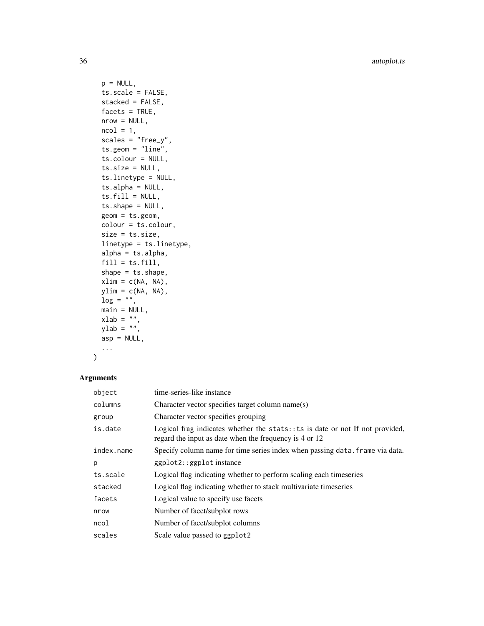36 autoplot.ts

```
p = NULL,ts.scale = FALSE,
 stacked = FALSE,
 factors = TRUE,nrow = NULL,
 ncol = 1,
  scales = "free_y",
 ts.geom = "line",
  ts.colour = NULL,
  ts.size = NULL,
  ts.linetype = NULL,
  ts.alpha = NULL,
  ts.fill = NULL,ts.shape = NULL,
 geom = ts.geom,
 colour = ts.colour,
 size = ts.size,
 linetype = ts.linetype,
 alpha = ts.alpha,
 fill = ts.fill,shape = ts.shape,
 xlim = c(NA, NA),
 ylim = c(NA, NA),
 \log = "".main = NULL,
 xlab = "",
 ylab = "",
 asp = NULL,...
)
```

| object     | time-series-like instance                                                                                                                |
|------------|------------------------------------------------------------------------------------------------------------------------------------------|
| columns    | Character vector specifies target column name(s)                                                                                         |
| group      | Character vector specifies grouping                                                                                                      |
| is.date    | Logical frag indicates whether the stats: : ts is date or not If not provided,<br>regard the input as date when the frequency is 4 or 12 |
| index.name | Specify column name for time series index when passing data. Frame via data.                                                             |
| p          | ggplot2::ggplot instance                                                                                                                 |
| ts.scale   | Logical flag indicating whether to perform scaling each timeseries                                                                       |
| stacked    | Logical flag indicating whether to stack multivariate timeseries                                                                         |
| facets     | Logical value to specify use facets                                                                                                      |
| nrow       | Number of facet/subplot rows                                                                                                             |
| ncol       | Number of facet/subplot columns                                                                                                          |
| scales     | Scale value passed to ggplot2                                                                                                            |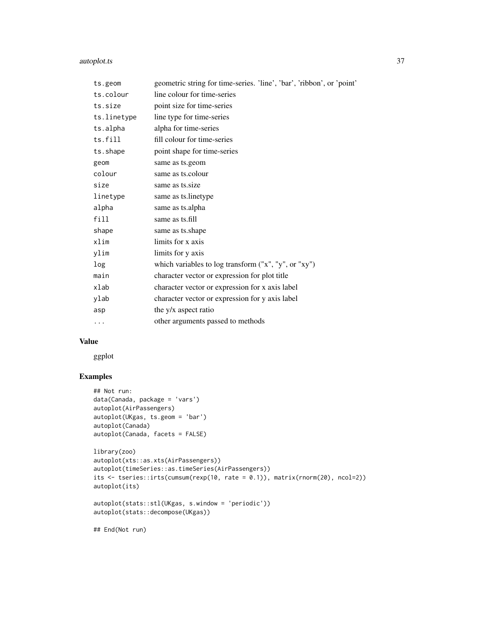## autoplot.ts 37

| ts.geom     | geometric string for time-series. 'line', 'bar', 'ribbon', or 'point' |
|-------------|-----------------------------------------------------------------------|
| ts.colour   | line colour for time-series                                           |
| ts.size     | point size for time-series                                            |
| ts.linetype | line type for time-series                                             |
| ts.alpha    | alpha for time-series                                                 |
| ts.fill     | fill colour for time-series                                           |
| ts.shape    | point shape for time-series                                           |
| geom        | same as ts.geom                                                       |
| colour      | same as ts.colour                                                     |
| size        | same as ts.size                                                       |
| linetype    | same as ts.linetype                                                   |
| alpha       | same as ts.alpha                                                      |
| fill        | same as ts.fill                                                       |
| shape       | same as ts.shape                                                      |
| xlim        | limits for x axis                                                     |
| ylim        | limits for y axis                                                     |
| log         | which variables to log transform ("x", "y", or "xy")                  |
| main        | character vector or expression for plot title                         |
| xlab        | character vector or expression for x axis label                       |
| ylab        | character vector or expression for y axis label                       |
| asp         | the y/x aspect ratio                                                  |
| .           | other arguments passed to methods                                     |

## Value

ggplot

## Examples

```
## Not run:
data(Canada, package = 'vars')
autoplot(AirPassengers)
autoplot(UKgas, ts.geom = 'bar')
autoplot(Canada)
autoplot(Canada, facets = FALSE)
library(zoo)
autoplot(xts::as.xts(AirPassengers))
autoplot(timeSeries::as.timeSeries(AirPassengers))
its <- tseries::irts(cumsum(rexp(10, rate = 0.1)), matrix(rnorm(20), ncol=2))
autoplot(its)
autoplot(stats::stl(UKgas, s.window = 'periodic'))
autoplot(stats::decompose(UKgas))
```
## End(Not run)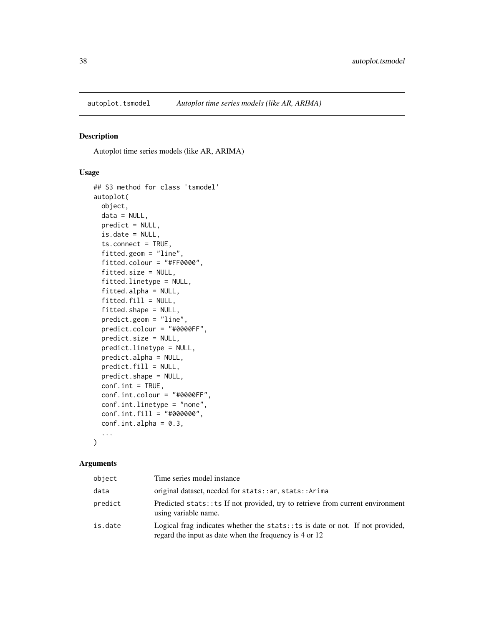Autoplot time series models (like AR, ARIMA)

#### Usage

```
## S3 method for class 'tsmodel'
autoplot(
 object,
 data = NULL,
 predict = NULL,
  is.date = NULL,
  ts.connect = TRUE,
  fitted.geom = "line",
  fitted.colour = "#FF0000",
  fitted.size = NULL,
  fitted.linetype = NULL,
  fitted.alpha = NULL,
  fitted.fill = NULL,fitted.shape = NULL,
 predict.geom = "line",
 predict.colour = "#0000FF",
 predict.size = NULL,
 predict.linetype = NULL,
 predict.alpha = NULL,
 predict.fill = NULL,
 predict.shape = NULL,
  conf.int = TRUE,conf.int.colour = "#0000FF",
  conf.int.linetype = "none",
  conf.int.fill = "#000000",
  conf.int.alpha = 0.3,...
)
```
#### Arguments

| object  | Time series model instance                                                                                                                 |
|---------|--------------------------------------------------------------------------------------------------------------------------------------------|
| data    | original dataset, needed for stats:: ar, stats:: Arima                                                                                     |
| predict | Predicted stats: : ts If not provided, try to retrieve from current environment<br>using variable name.                                    |
| is.date | Logical frag indicates whether the stats: $:ts$ is date or not. If not provided,<br>regard the input as date when the frequency is 4 or 12 |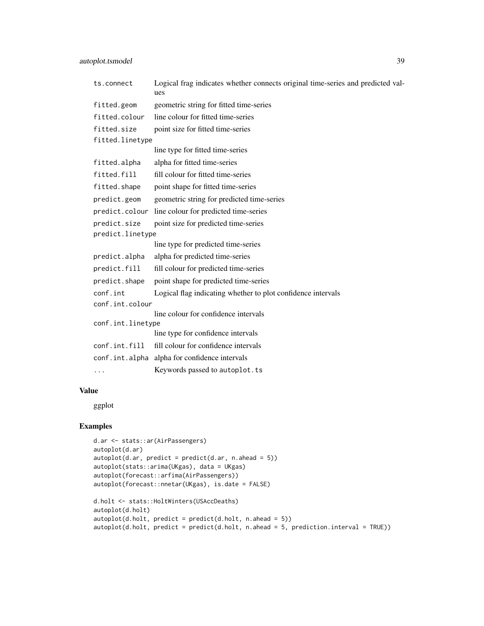| ts.connect        | Logical frag indicates whether connects original time-series and predicted val-<br>ues |
|-------------------|----------------------------------------------------------------------------------------|
| fitted.geom       | geometric string for fitted time-series                                                |
| fitted.colour     | line colour for fitted time-series                                                     |
| fitted.size       | point size for fitted time-series                                                      |
| fitted.linetype   |                                                                                        |
|                   | line type for fitted time-series                                                       |
| fitted.alpha      | alpha for fitted time-series                                                           |
| fitted.fill       | fill colour for fitted time-series                                                     |
| fitted.shape      | point shape for fitted time-series                                                     |
| predict.geom      | geometric string for predicted time-series                                             |
| predict.colour    | line colour for predicted time-series                                                  |
| predict.size      | point size for predicted time-series                                                   |
| predict.linetype  |                                                                                        |
|                   | line type for predicted time-series                                                    |
| predict.alpha     | alpha for predicted time-series                                                        |
| predict.fill      | fill colour for predicted time-series                                                  |
| predict.shape     | point shape for predicted time-series                                                  |
| conf.int          | Logical flag indicating whether to plot confidence intervals                           |
| conf.int.colour   |                                                                                        |
|                   | line colour for confidence intervals                                                   |
| conf.int.linetype | line type for confidence intervals                                                     |
| conf.int.fill     |                                                                                        |
|                   | fill colour for confidence intervals                                                   |
|                   | conf.int.alpha alpha for confidence intervals                                          |
| .                 | Keywords passed to autoplot.ts                                                         |
|                   |                                                                                        |

# Value

ggplot

```
d.ar <- stats::ar(AirPassengers)
autoplot(d.ar)
autoplot(d.ar, predict = predict(d.ar, n. ahead = 5))autoplot(stats::arima(UKgas), data = UKgas)
autoplot(forecast::arfima(AirPassengers))
autoplot(forecast::nnetar(UKgas), is.date = FALSE)
d.holt <- stats::HoltWinters(USAccDeaths)
autoplot(d.holt)
autoplot(d.holt, predict = predict(d.holt, n.ahead = 5))
autoff(d.holt, predict = predict(d.holt, n. ahead = 5, prediction.interval = TRUE))
```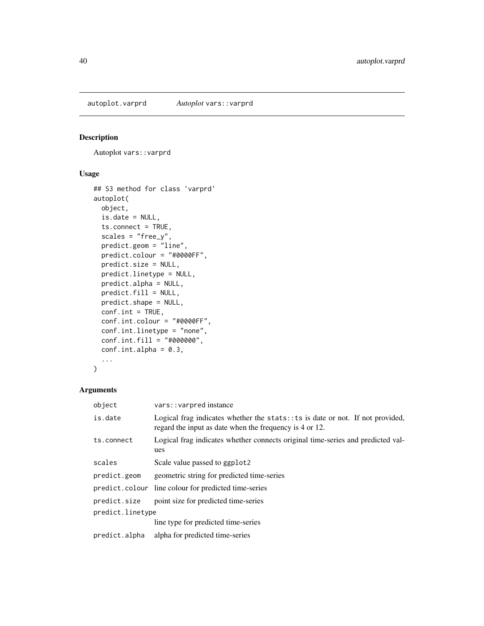autoplot.varprd *Autoplot* vars::varprd

## Description

Autoplot vars:: varprd

# Usage

```
## S3 method for class 'varprd'
autoplot(
 object,
 is.date = NULL,
 ts.connect = TRUE,
 scales = "free_y",
 predict.geom = "line",
 predict.colour = "#0000FF",
 predict.size = NULL,
 predict.linetype = NULL,
 predict.alpha = NULL,
 predict.fill = NULL,
 predict.shape = NULL,
 conf.int = TRUE,conf.int.colour = "#0000FF",
  conf.int.linetype = "none",
  conf.int.fill = "#000000",
 conf.int.alpha = 0.3,...
)
```
#### Arguments

| object           | vars:: varpred instance                                                                                                                    |
|------------------|--------------------------------------------------------------------------------------------------------------------------------------------|
| is.date          | Logical frag indicates whether the stats: : ts is date or not. If not provided,<br>regard the input as date when the frequency is 4 or 12. |
| ts.connect       | Logical frag indicates whether connects original time-series and predicted val-<br>ues                                                     |
| scales           | Scale value passed to ggplot2                                                                                                              |
| predict.geom     | geometric string for predicted time-series                                                                                                 |
|                  | predict.colour line colour for predicted time-series                                                                                       |
| predict.size     | point size for predicted time-series                                                                                                       |
| predict.linetype |                                                                                                                                            |
|                  | line type for predicted time-series                                                                                                        |
| predict.alpha    | alpha for predicted time-series                                                                                                            |
|                  |                                                                                                                                            |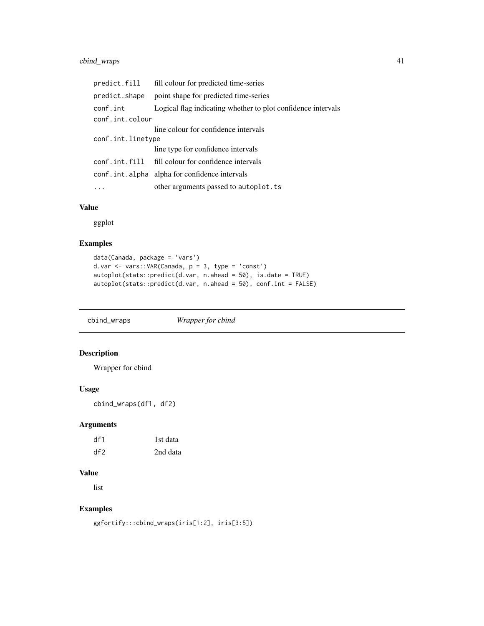# cbind\_wraps 41

| predict.fill      | fill colour for predicted time-series                        |  |
|-------------------|--------------------------------------------------------------|--|
| predict.shape     | point shape for predicted time-series                        |  |
| conf.int          | Logical flag indicating whether to plot confidence intervals |  |
| conf.int.colour   |                                                              |  |
|                   | line colour for confidence intervals                         |  |
| conf.int.linetype |                                                              |  |
|                   | line type for confidence intervals                           |  |
|                   | conf.int.fill fill colour for confidence intervals           |  |
|                   | conf.int.alpha alpha for confidence intervals                |  |
|                   | other arguments passed to autoplot.ts                        |  |

# Value

ggplot

# Examples

```
data(Canada, package = 'vars')
d.var <- vars::VAR(Canada, p = 3, type = 'const')
autoplot(stats::predict(d.var, n.ahead = 50), is.date = TRUE)
autoplot(stats::predict(d.var, n.ahead = 50), conf.int = FALSE)
```
cbind\_wraps *Wrapper for cbind*

# Description

Wrapper for cbind

#### Usage

cbind\_wraps(df1, df2)

## Arguments

| df1 | 1st data |
|-----|----------|
| df2 | 2nd data |

# Value

list

```
ggfortify:::cbind_wraps(iris[1:2], iris[3:5])
```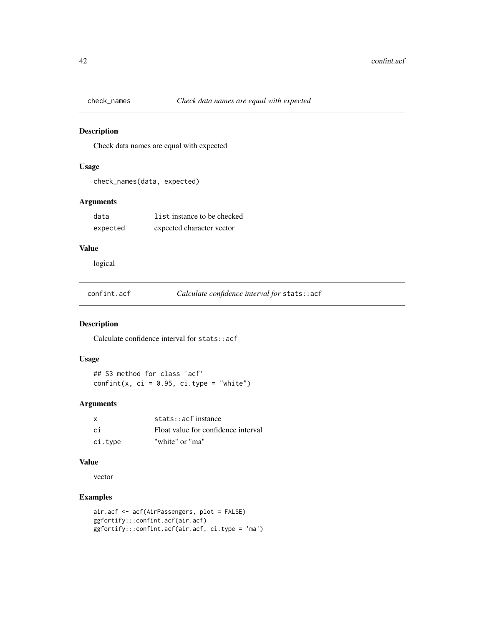Check data names are equal with expected

#### Usage

```
check_names(data, expected)
```
#### Arguments

| data     | list instance to be checked |
|----------|-----------------------------|
| expected | expected character vector   |

#### Value

logical

confint.acf *Calculate confidence interval for* stats::acf

# Description

Calculate confidence interval for stats::acf

#### Usage

## S3 method for class 'acf'  $confint(x, ci = 0.95, ci_type = "white")$ 

## Arguments

| $\mathsf{x}$ | $stats: \text{acf}$ instance        |
|--------------|-------------------------------------|
| .ci          | Float value for confidence interval |
| ci.type      | "white" or "ma"                     |

# Value

vector

```
air.acf <- acf(AirPassengers, plot = FALSE)
ggfortify:::confint.acf(air.acf)
ggfortify:::confint.acf(air.acf, ci.type = 'ma')
```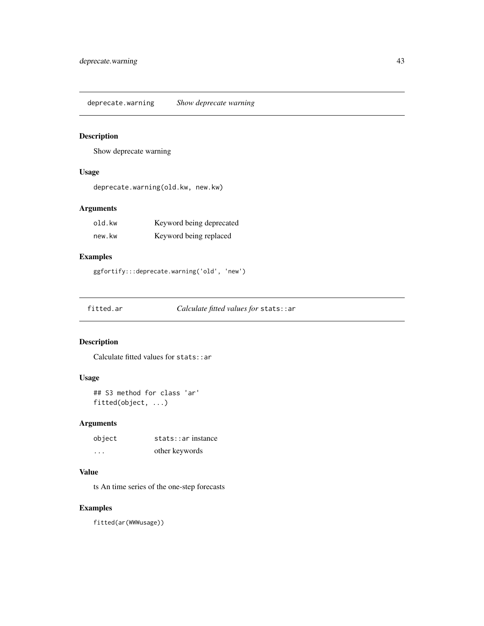deprecate.warning *Show deprecate warning*

## Description

Show deprecate warning

# Usage

deprecate.warning(old.kw, new.kw)

# Arguments

| old.kw | Keyword being deprecated |
|--------|--------------------------|
| new.kw | Keyword being replaced   |

# Examples

ggfortify:::deprecate.warning('old', 'new')

fitted.ar *Calculate fitted values for* stats::ar

#### Description

Calculate fitted values for stats::ar

#### Usage

## S3 method for class 'ar' fitted(object, ...)

## Arguments

| object                  | stats:ar instance |
|-------------------------|-------------------|
| $\cdot$ $\cdot$ $\cdot$ | other keywords    |

# Value

ts An time series of the one-step forecasts

# Examples

fitted(ar(WWWusage))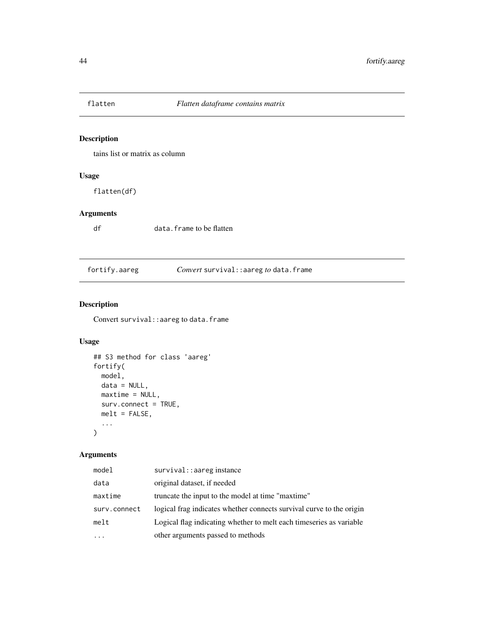tains list or matrix as column

# Usage

flatten(df)

# Arguments

df data.frame to be flatten

fortify.aareg *Convert* survival::aareg *to* data.frame

# Description

Convert survival: : aareg to data.frame

# Usage

```
## S3 method for class 'aareg'
fortify(
 model,
 data = NULL,
 maxtime = NULL,
 surv.connect = TRUE,
 melt = FALSE,...
\mathcal{L}
```
## Arguments

| model        | survival: : aareg instance                                           |
|--------------|----------------------------------------------------------------------|
| data         | original dataset, if needed                                          |
| maxtime      | truncate the input to the model at time "maxtime"                    |
| surv.connect | logical frag indicates whether connects survival curve to the origin |
| melt         | Logical flag indicating whether to melt each timeseries as variable  |
|              | other arguments passed to methods                                    |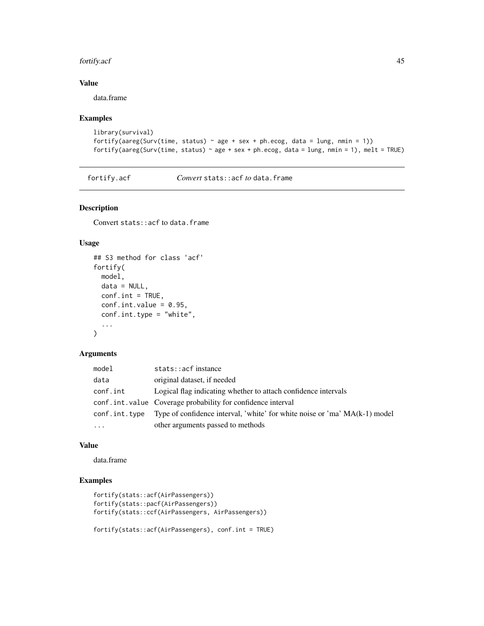#### fortify.acf 45

# Value

data.frame

## Examples

```
library(survival)
fortify(aareg(Surv(time, status) \sim age + sex + ph.ecog, data = lung, nmin = 1))
fortify(aareg(Surv(time, status) \sim age + sex + ph.ecog, data = lung, nmin = 1), melt = TRUE)
```
fortify.acf *Convert* stats::acf *to* data.frame

# Description

Convert stats::acf to data.frame

## Usage

```
## S3 method for class 'acf'
fortify(
 model,
 data = NULL,
  conf.int = TRUE,
  conf.int.value = 0.95,
  conf.int.type = "white",
  ...
)
```
# Arguments

| model         | stats::acfinstance                                                         |
|---------------|----------------------------------------------------------------------------|
| data          | original dataset, if needed                                                |
| conf.int      | Logical flag indicating whether to attach confidence intervals             |
|               | conf.int.value Coverage probability for confidence interval                |
| conf.int.type | Type of confidence interval, 'white' for white noise or 'ma' MA(k-1) model |
| $\cdots$      | other arguments passed to methods                                          |

#### Value

data.frame

```
fortify(stats::acf(AirPassengers))
fortify(stats::pacf(AirPassengers))
fortify(stats::ccf(AirPassengers, AirPassengers))
```

```
fortify(stats::acf(AirPassengers), conf.int = TRUE)
```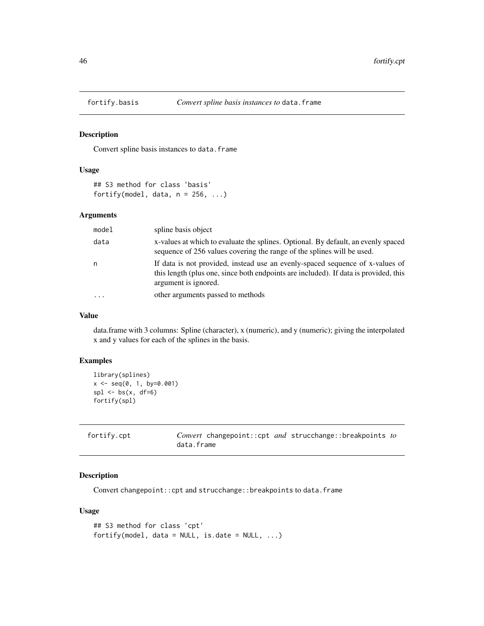Convert spline basis instances to data.frame

## Usage

```
## S3 method for class 'basis'
fortify(model, data, n = 256, ...)
```
#### Arguments

| model                   | spline basis object                                                                                                                                                                           |
|-------------------------|-----------------------------------------------------------------------------------------------------------------------------------------------------------------------------------------------|
| data                    | x-values at which to evaluate the splines. Optional. By default, an evenly spaced<br>sequence of 256 values covering the range of the splines will be used.                                   |
| n                       | If data is not provided, instead use an evenly-spaced sequence of x-values of<br>this length (plus one, since both endpoints are included). If data is provided, this<br>argument is ignored. |
| $\cdot$ $\cdot$ $\cdot$ | other arguments passed to methods                                                                                                                                                             |

## Value

data.frame with 3 columns: Spline (character), x (numeric), and y (numeric); giving the interpolated x and y values for each of the splines in the basis.

# Examples

```
library(splines)
x \le - seq(0, 1, by=0.001)
spl \leftarrow bs(x, df=6)fortify(spl)
```

| fortify.cpt | <i>Convert</i> changepoint::cpt <i>and</i> strucchange::breakpoints <i>to</i> |
|-------------|-------------------------------------------------------------------------------|
|             | data.frame                                                                    |

#### Description

Convert changepoint::cpt and strucchange::breakpoints to data.frame

```
## S3 method for class 'cpt'
fortify(model, data = NULL, is.date = NULL, \ldots)
```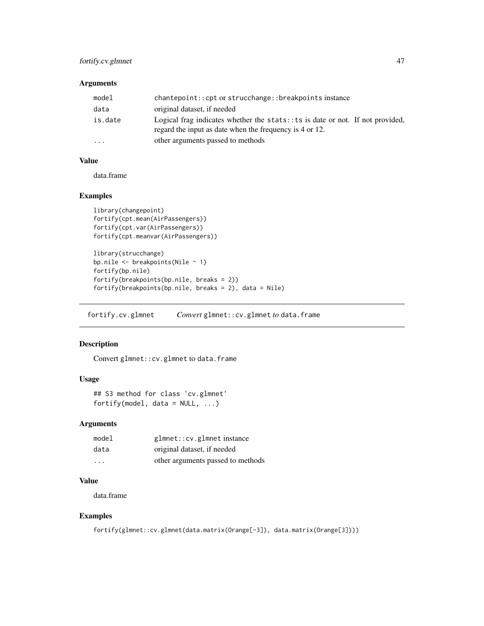## fortify.cv.glmnet 47

#### Arguments

| model     | chantepoint:: cpt or strucchange:: breakpoints instance                                                                                        |
|-----------|------------------------------------------------------------------------------------------------------------------------------------------------|
| data      | original dataset, if needed                                                                                                                    |
| is.date   | Logical frag indicates whether the stats: $\pm$ ts is date or not. If not provided,<br>regard the input as date when the frequency is 4 or 12. |
| $\ddotsc$ | other arguments passed to methods                                                                                                              |

#### Value

data.frame

#### Examples

```
library(changepoint)
fortify(cpt.mean(AirPassengers))
fortify(cpt.var(AirPassengers))
fortify(cpt.meanvar(AirPassengers))
library(strucchange)
bp.nile <- breakpoints(Nile ~ 1)
fortify(bp.nile)
fortify(breakpoints(bp.nile, breaks = 2))
fortify(breakpoints(bp.nile, breaks = 2), data = Nile)
```
fortify.cv.glmnet *Convert* glmnet::cv.glmnet *to* data.frame

#### Description

Convert glmnet::cv.glmnet to data.frame

#### Usage

```
## S3 method for class 'cv.glmnet'
fortify(model, data = NULL, ...)
```
#### Arguments

| model                   | glmnet::cv.glmnetinstance         |
|-------------------------|-----------------------------------|
| data                    | original dataset, if needed       |
| $\cdot$ $\cdot$ $\cdot$ | other arguments passed to methods |

#### Value

data.frame

```
fortify(glmnet::cv.glmnet(data.matrix(Orange[-3]), data.matrix(Orange[3])))
```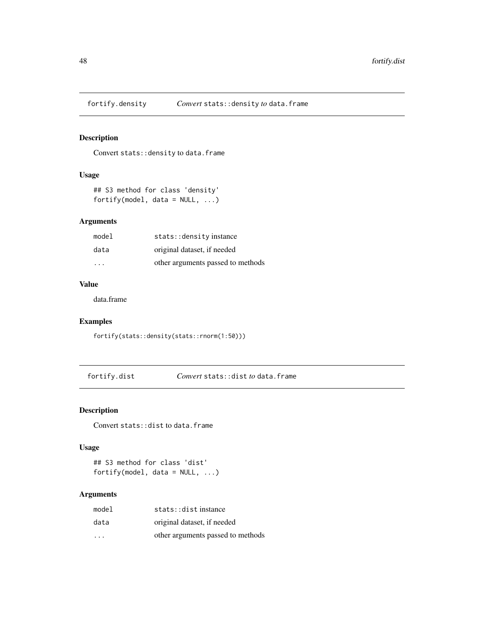Convert stats: : density to data.frame

# Usage

```
## S3 method for class 'density'
fortify(model, data = NULL, ...)
```
## Arguments

| model | stats:: density instance          |
|-------|-----------------------------------|
| data  | original dataset, if needed       |
| .     | other arguments passed to methods |

#### Value

data.frame

# Examples

fortify(stats::density(stats::rnorm(1:50)))

fortify.dist *Convert* stats::dist *to* data.frame

#### Description

Convert stats::dist to data.frame

## Usage

## S3 method for class 'dist' fortify(model, data = NULL, ...)

## Arguments

| model | stats:: distinstance              |
|-------|-----------------------------------|
| data  | original dataset, if needed       |
| .     | other arguments passed to methods |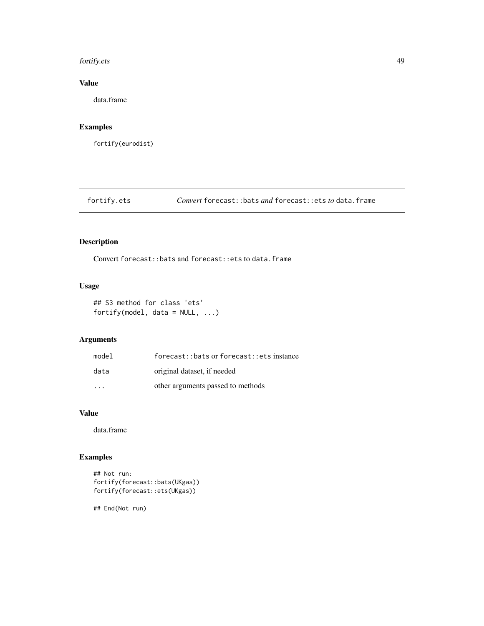#### fortify.ets 49

# Value

data.frame

## Examples

fortify(eurodist)

fortify.ets *Convert* forecast::bats *and* forecast::ets *to* data.frame

# Description

Convert forecast::bats and forecast::ets to data.frame

## Usage

```
## S3 method for class 'ets'
fortify(model, data = NULL, ...)
```
# Arguments

| model                   | forecast::bats or forecast::ets instance |
|-------------------------|------------------------------------------|
| data                    | original dataset, if needed              |
| $\cdot$ $\cdot$ $\cdot$ | other arguments passed to methods        |

# Value

data.frame

```
## Not run:
fortify(forecast::bats(UKgas))
fortify(forecast::ets(UKgas))
## End(Not run)
```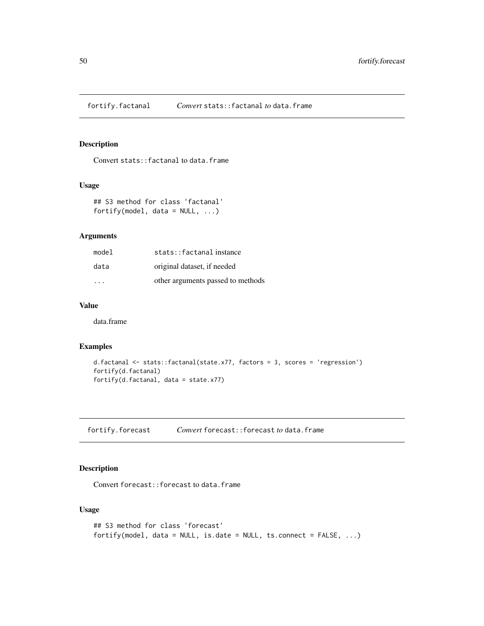fortify.factanal *Convert* stats::factanal *to* data.frame

#### Description

Convert stats:: factanal to data.frame

#### Usage

## S3 method for class 'factanal' fortify(model, data =  $NULL, ...)$ 

## Arguments

| model                   | stats::factanalinstance           |
|-------------------------|-----------------------------------|
| data                    | original dataset, if needed       |
| $\cdot$ $\cdot$ $\cdot$ | other arguments passed to methods |

# Value

data.frame

#### Examples

```
d.factanal <- stats::factanal(state.x77, factors = 3, scores = 'regression')
fortify(d.factanal)
fortify(d.factanal, data = state.x77)
```
fortify.forecast *Convert* forecast::forecast *to* data.frame

# Description

Convert forecast::forecast to data.frame

```
## S3 method for class 'forecast'
fortify(model, data = NULL, is.date = NULL, ts.connect = FALSE, ...)
```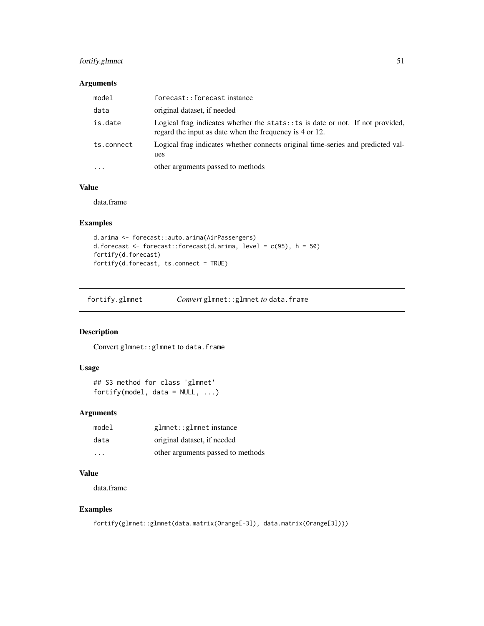## fortify.glmnet 51

# Arguments

| model      | forecast::forecastinstance                                                                                                                  |
|------------|---------------------------------------------------------------------------------------------------------------------------------------------|
| data       | original dataset, if needed                                                                                                                 |
| is.date    | Logical frag indicates whether the stats: $:ts$ is date or not. If not provided,<br>regard the input as date when the frequency is 4 or 12. |
| ts.connect | Logical frag indicates whether connects original time-series and predicted val-<br>ues                                                      |
| $\cdots$   | other arguments passed to methods                                                                                                           |

# Value

data.frame

## Examples

```
d.arima <- forecast::auto.arima(AirPassengers)
d.forecast <- forecast::forecast(d.arima, level = c(95), h = 50)
fortify(d.forecast)
fortify(d.forecast, ts.connect = TRUE)
```

| fortify.glmnet | <i>Convert</i> glmnet:: glmnet to data.frame |
|----------------|----------------------------------------------|
|                |                                              |

# Description

Convert glmnet:: glmnet to data.frame

## Usage

```
## S3 method for class 'glmnet'
fortify(model, data = NULL, ...)
```
## Arguments

| model                   | glmnet::glmnetinstance            |
|-------------------------|-----------------------------------|
| data                    | original dataset, if needed       |
| $\cdot$ $\cdot$ $\cdot$ | other arguments passed to methods |

## Value

data.frame

```
fortify(glmnet::glmnet(data.matrix(Orange[-3]), data.matrix(Orange[3])))
```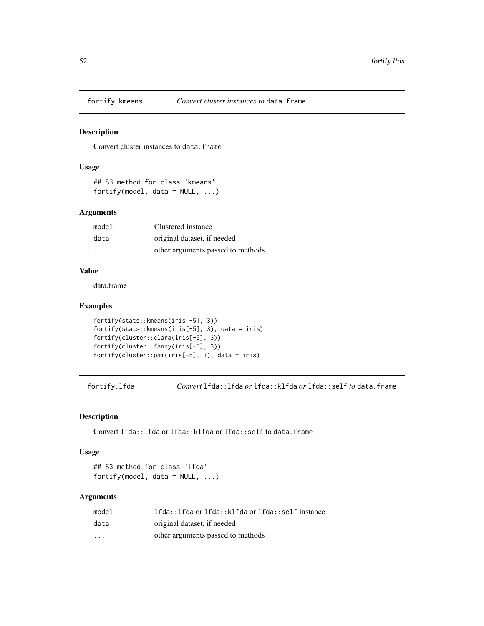Convert cluster instances to data.frame

#### Usage

```
## S3 method for class 'kmeans'
fortify(model, data = NULL, ...)
```
#### Arguments

| model   | Clustered instance                |
|---------|-----------------------------------|
| data    | original dataset, if needed       |
| $\cdot$ | other arguments passed to methods |

# Value

data.frame

#### Examples

```
fortify(stats::kmeans(iris[-5], 3))
fortify(stats::kmeans(iris[-5], 3), data = iris)
fortify(cluster::clara(iris[-5], 3))
fortify(cluster::fanny(iris[-5], 3))
fortify(cluster::pam(iris[-5], 3), data = iris)
```
fortify.lfda *Convert* lfda::lfda *or* lfda::klfda *or* lfda::self *to* data.frame

## Description

Convert lfda::lfda or lfda::klfda or lfda::self to data.frame

#### Usage

## S3 method for class 'lfda' fortify(model, data = NULL, ...)

#### Arguments

| model                   | lfda::lfda or lfda::klfda or lfda::self instance |
|-------------------------|--------------------------------------------------|
| data                    | original dataset, if needed                      |
| $\cdot$ $\cdot$ $\cdot$ | other arguments passed to methods                |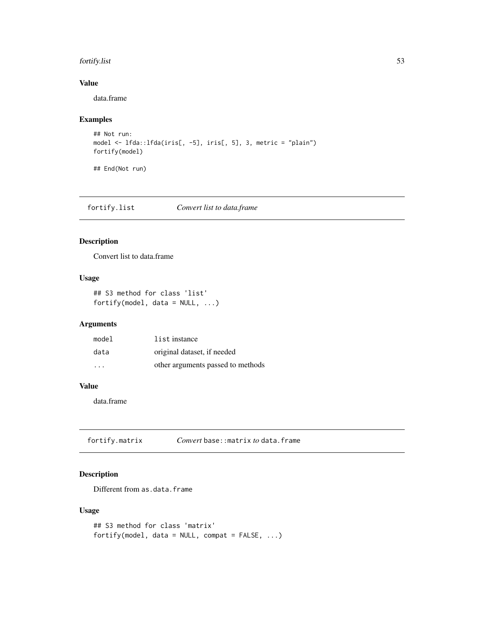#### fortify.list 53

# Value

data.frame

## Examples

```
## Not run:
model <- lfda::lfda(iris[, -5], iris[, 5], 3, metric = "plain")
fortify(model)
## End(Not run)
```
fortify.list *Convert list to data.frame*

# Description

Convert list to data.frame

## Usage

```
## S3 method for class 'list'
fortify(model, data = NULL, ...)
```
## Arguments

| model                   | list instance                     |
|-------------------------|-----------------------------------|
| data                    | original dataset, if needed       |
| $\cdot$ $\cdot$ $\cdot$ | other arguments passed to methods |

#### Value

data.frame

fortify.matrix *Convert* base::matrix *to* data.frame

# Description

Different from as.data.frame

```
## S3 method for class 'matrix'
fortify(model, data = NULL, compact = FALSE, ...)
```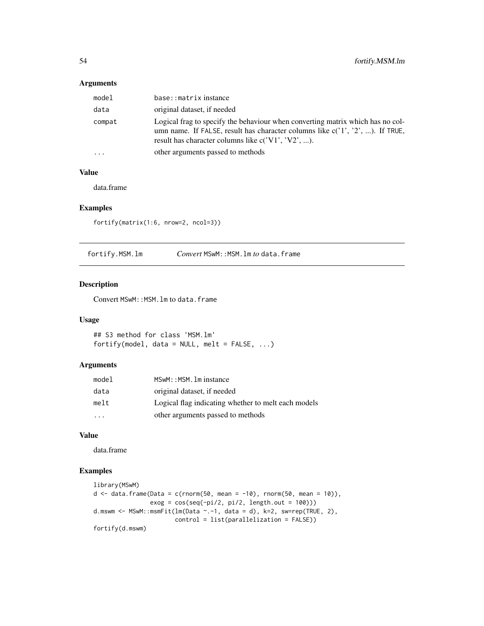#### Arguments

| model  | base::matrixinstance                                                                                                                                                                                                            |
|--------|---------------------------------------------------------------------------------------------------------------------------------------------------------------------------------------------------------------------------------|
| data   | original dataset, if needed                                                                                                                                                                                                     |
| compat | Logical frag to specify the behaviour when converting matrix which has no col-<br>umn name. If FALSE, result has character columns like $c(1', 2', \ldots)$ . If TRUE,<br>result has character columns like $c('V1', 'V2', )$ . |
| .      | other arguments passed to methods                                                                                                                                                                                               |
|        |                                                                                                                                                                                                                                 |

## Value

data.frame

## Examples

fortify(matrix(1:6, nrow=2, ncol=3))

fortify.MSM.lm *Convert* MSwM::MSM.lm *to* data.frame

## Description

Convert MSwM:: MSM. 1m to data.frame

#### Usage

## S3 method for class 'MSM.lm' fortify(model, data = NULL, melt =  $FALSE, ...)$ 

## Arguments

| model                   | MSwM:: MSM. 1m instance                             |
|-------------------------|-----------------------------------------------------|
| data                    | original dataset, if needed                         |
| melt                    | Logical flag indicating whether to melt each models |
| $\cdot$ $\cdot$ $\cdot$ | other arguments passed to methods                   |

# Value

data.frame

```
library(MSwM)
d \leq - data.frame(Data = c(rnorm(50, mean = -10), rnorm(50, mean = 10)),
                exog = cos(seq(-pi/2, pi/2, length.out = 100))d.mswm <- MSwM::msmFit(lm(Data ~ -1, data = d), k=2, sw=rep(TRUE, 2),control = list(parallelization = FALSE))
fortify(d.mswm)
```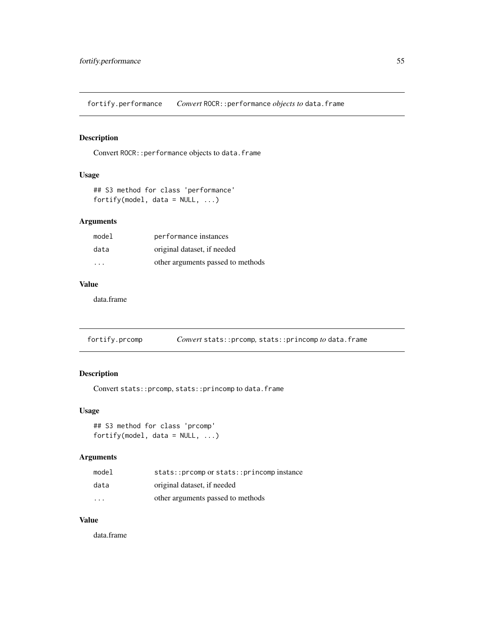fortify.performance *Convert* ROCR::performance *objects to* data.frame

## Description

Convert ROCR:: performance objects to data.frame

# Usage

```
## S3 method for class 'performance'
fortify(model, data = NULL, ...)
```
## Arguments

| mode1                   | performance instances             |
|-------------------------|-----------------------------------|
| data                    | original dataset, if needed       |
| $\cdot$ $\cdot$ $\cdot$ | other arguments passed to methods |

#### Value

data.frame

fortify.prcomp *Convert* stats::prcomp*,* stats::princomp *to* data.frame

# Description

Convert stats::prcomp, stats::princomp to data.frame

#### Usage

```
## S3 method for class 'prcomp'
fortify(model, data = NULL, ...)
```
#### Arguments

| model                   | stats::prcomp or stats::princomp instance |
|-------------------------|-------------------------------------------|
| data                    | original dataset, if needed               |
| $\cdot$ $\cdot$ $\cdot$ | other arguments passed to methods         |

#### Value

data.frame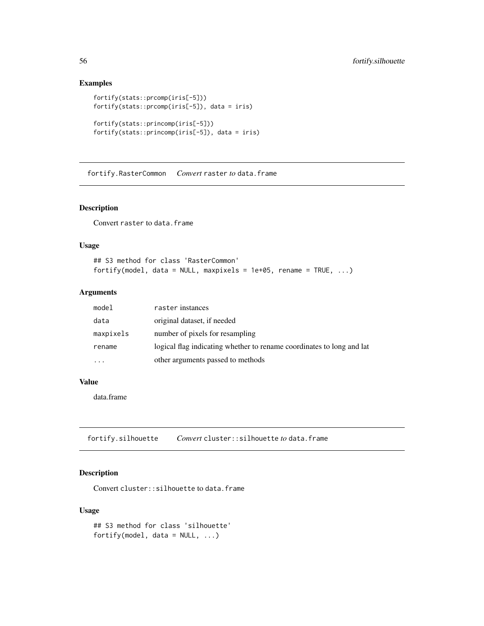## Examples

```
fortify(stats::prcomp(iris[-5]))
fortify(stats::prcomp(iris[-5]), data = iris)
fortify(stats::princomp(iris[-5]))
fortify(stats::princomp(iris[-5]), data = iris)
```
fortify.RasterCommon *Convert* raster *to* data.frame

#### Description

Convert raster to data.frame

#### Usage

## S3 method for class 'RasterCommon' fortify(model, data = NULL, maxpixels = 1e+05, rename = TRUE,  $\ldots$ )

#### Arguments

| model     | raster instances                                                      |
|-----------|-----------------------------------------------------------------------|
| data      | original dataset, if needed                                           |
| maxpixels | number of pixels for resampling                                       |
| rename    | logical flag indicating whether to rename coordinates to long and lat |
| .         | other arguments passed to methods                                     |

#### Value

data.frame

fortify.silhouette *Convert* cluster::silhouette *to* data.frame

## Description

Convert cluster::silhouette to data.frame

```
## S3 method for class 'silhouette'
fortify(model, data = NULL, ...)
```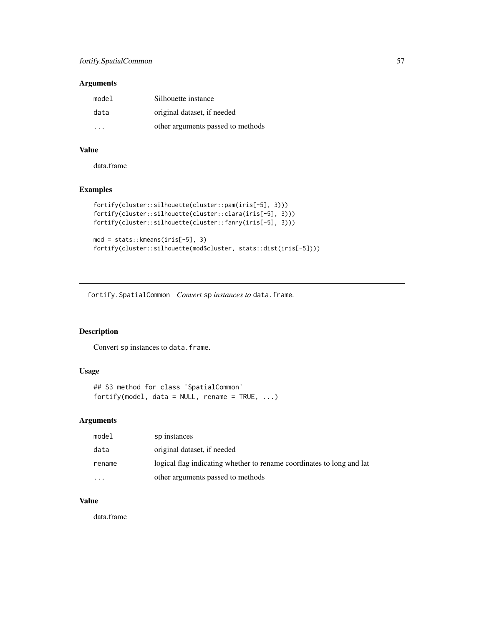## fortify.SpatialCommon 57

#### Arguments

| model | Silhouette instance               |
|-------|-----------------------------------|
| data  | original dataset, if needed       |
| .     | other arguments passed to methods |

## Value

data.frame

## Examples

```
fortify(cluster::silhouette(cluster::pam(iris[-5], 3)))
fortify(cluster::silhouette(cluster::clara(iris[-5], 3)))
fortify(cluster::silhouette(cluster::fanny(iris[-5], 3)))
mod = stats::kmeans(iris[-5], 3)
```
fortify(cluster::silhouette(mod\$cluster, stats::dist(iris[-5])))

fortify.SpatialCommon *Convert* sp *instances to* data.frame*.*

#### Description

Convert sp instances to data.frame.

#### Usage

```
## S3 method for class 'SpatialCommon'
fortify(model, data = NULL, rename = TRUE, ...)
```
## Arguments

| model    | sp instances                                                          |
|----------|-----------------------------------------------------------------------|
| data     | original dataset, if needed                                           |
| rename   | logical flag indicating whether to rename coordinates to long and lat |
| $\cdots$ | other arguments passed to methods                                     |

#### Value

data.frame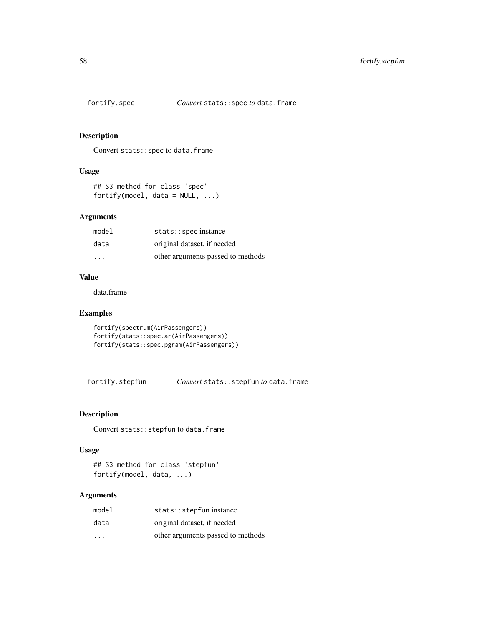Convert stats::spec to data.frame

## Usage

```
## S3 method for class 'spec'
fortify(model, data = NULL, ...)
```
## Arguments

| model                   | stats::specinstance               |
|-------------------------|-----------------------------------|
| data                    | original dataset, if needed       |
| $\cdot$ $\cdot$ $\cdot$ | other arguments passed to methods |

#### Value

data.frame

#### Examples

```
fortify(spectrum(AirPassengers))
fortify(stats::spec.ar(AirPassengers))
fortify(stats::spec.pgram(AirPassengers))
```
fortify.stepfun *Convert* stats::stepfun *to* data.frame

## Description

Convert stats:: stepfun to data.frame

#### Usage

## S3 method for class 'stepfun' fortify(model, data, ...)

# Arguments

| model                   | stats:: stepfun instance          |
|-------------------------|-----------------------------------|
| data                    | original dataset, if needed       |
| $\cdot$ $\cdot$ $\cdot$ | other arguments passed to methods |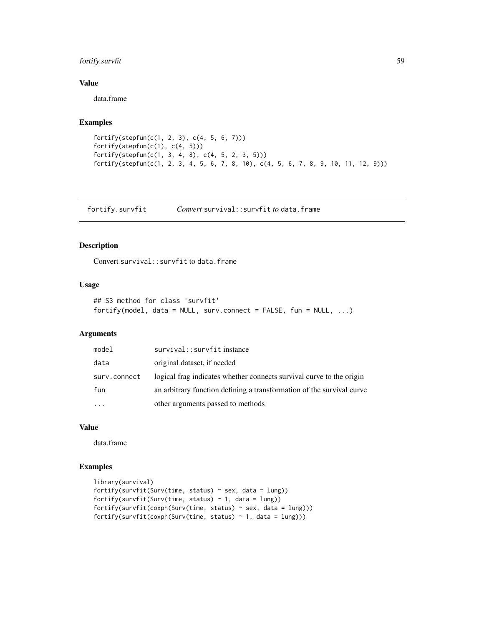## fortify.survfit 59

## Value

data.frame

#### Examples

```
fortify(stepfun(c(1, 2, 3), c(4, 5, 6, 7)))
fortify(stepfun(c(1), c(4, 5)))
fortify(stepfun(c(1, 3, 4, 8), c(4, 5, 2, 3, 5)))
fortify(stepfun(c(1, 2, 3, 4, 5, 6, 7, 8, 10), c(4, 5, 6, 7, 8, 9, 10, 11, 12, 9)))
```
fortify.survfit *Convert* survival::survfit *to* data.frame

#### Description

Convert survival:: survfit to data.frame

#### Usage

```
## S3 method for class 'survfit'
fortify(model, data = NULL, surv.connect = FALSE, fun = NULL, ...)
```
#### Arguments

| model        | survival::survfitinstance                                             |
|--------------|-----------------------------------------------------------------------|
| data         | original dataset, if needed                                           |
| surv.connect | logical frag indicates whether connects survival curve to the origin  |
| fun          | an arbitrary function defining a transformation of the survival curve |
| $\ddotsc$    | other arguments passed to methods                                     |

#### Value

data.frame

```
library(survival)
fortify(survfit(Surv(time, status) \sim sex, data = lung))
fortify(survfit(Surv(time, status) \sim 1, data = lung))
fortify(survfit(coxph(Surv(time, status) ~ sex, data = lung)))
fortify(survfit(coxph(Surv(time, status) \sim 1, data = lung)))
```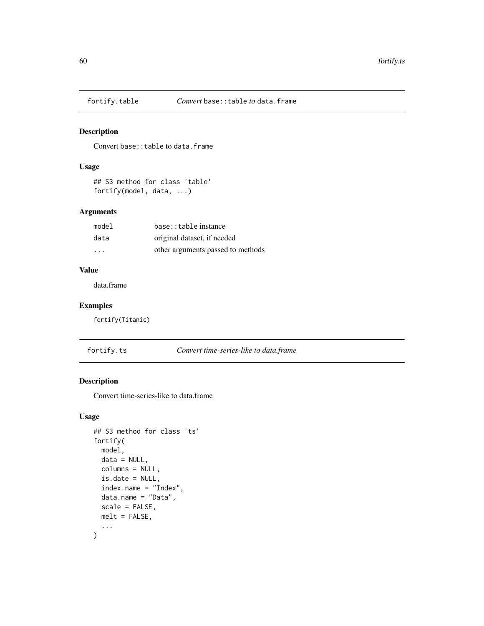Convert base:: table to data.frame

## Usage

## S3 method for class 'table' fortify(model, data, ...)

## Arguments

| model   | base::table instance              |
|---------|-----------------------------------|
| data    | original dataset, if needed       |
| $\cdot$ | other arguments passed to methods |

# Value

data.frame

# Examples

fortify(Titanic)

fortify.ts *Convert time-series-like to data.frame*

## Description

Convert time-series-like to data.frame

```
## S3 method for class 'ts'
fortify(
 model,
 data = NULL,
  columns = NULL,
  is.date = NULL,
  index.name = "Index",
 data.name = "Data",
  scale = FALSE,
 melt = FALSE,...
\mathcal{L}
```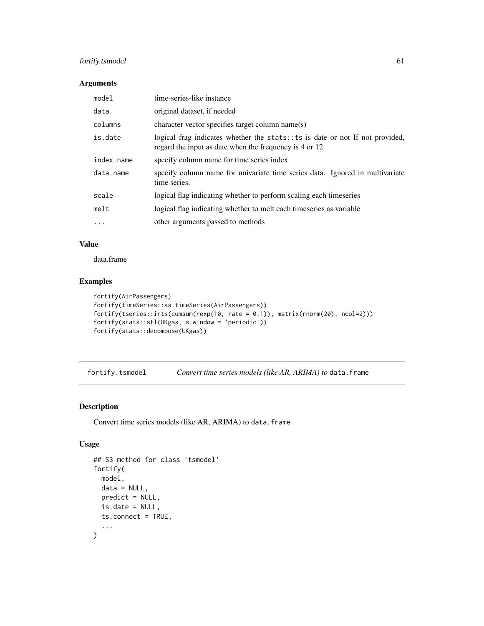## fortify.tsmodel 61

#### Arguments

| model      | time-series-like instance                                                                                                                |  |
|------------|------------------------------------------------------------------------------------------------------------------------------------------|--|
| data       | original dataset, if needed                                                                                                              |  |
| columns    | character vector specifies target column name(s)                                                                                         |  |
| is.date    | logical frag indicates whether the stats: : ts is date or not If not provided,<br>regard the input as date when the frequency is 4 or 12 |  |
| index.name | specify column name for time series index                                                                                                |  |
| data.name  | specify column name for univariate time series data. Ignored in multivariate<br>time series.                                             |  |
| scale      | logical flag indicating whether to perform scaling each timeseries                                                                       |  |
| melt       | logical flag indicating whether to melt each timeseries as variable                                                                      |  |
| $\cdots$   | other arguments passed to methods                                                                                                        |  |

# Value

data.frame

#### Examples

```
fortify(AirPassengers)
fortify(timeSeries::as.timeSeries(AirPassengers))
fortify(tseries::irts(cumsum(rexp(10, rate = 0.1)), matrix(rnorm(20), ncol=2)))
fortify(stats::stl(UKgas, s.window = 'periodic'))
fortify(stats::decompose(UKgas))
```
fortify.tsmodel *Convert time series models (like AR, ARIMA) to* data.frame

## Description

Convert time series models (like AR, ARIMA) to data.frame

```
## S3 method for class 'tsmodel'
fortify(
  model,
  data = NULL,predict = NULL,
  is.date = NULL,
  ts.connect = TRUE,
  ...
\mathcal{L}
```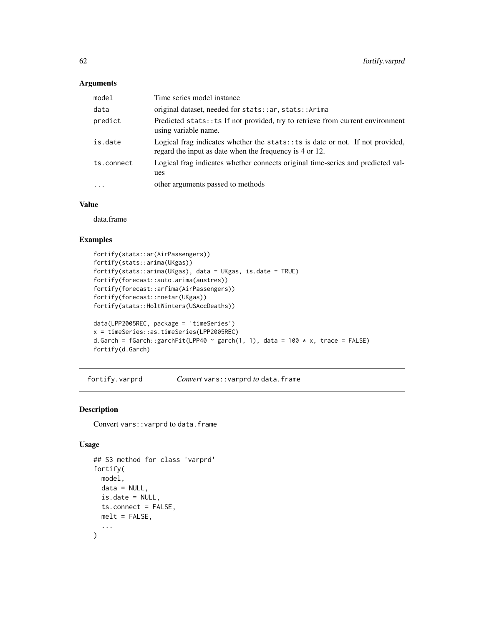## Arguments

| model      | Time series model instance                                                                                                                  |
|------------|---------------------------------------------------------------------------------------------------------------------------------------------|
| data       | original dataset, needed for stats:: ar, stats:: Arima                                                                                      |
| predict    | Predicted stats: : ts If not provided, try to retrieve from current environment<br>using variable name.                                     |
| is.date    | Logical frag indicates whether the stats: $:ts$ is date or not. If not provided,<br>regard the input as date when the frequency is 4 or 12. |
| ts.connect | Logical frag indicates whether connects original time-series and predicted val-<br>ues                                                      |
| $\cdots$   | other arguments passed to methods                                                                                                           |

#### Value

data.frame

# Examples

```
fortify(stats::ar(AirPassengers))
fortify(stats::arima(UKgas))
fortify(stats::arima(UKgas), data = UKgas, is.date = TRUE)
fortify(forecast::auto.arima(austres))
fortify(forecast::arfima(AirPassengers))
fortify(forecast::nnetar(UKgas))
fortify(stats::HoltWinters(USAccDeaths))
data(LPP2005REC, package = 'timeSeries')
x = timeSeries::as.timeSeries(LPP2005REC)
d.Garch = fGarch::garchFit(LPP40 ~ garch(1, 1), data = 100 * x, trace = FALSE)
fortify(d.Garch)
```
fortify.varprd *Convert* vars::varprd *to* data.frame

#### Description

Convert vars:: varprd to data.frame

```
## S3 method for class 'varprd'
fortify(
 model,
  data = NULL,is.date = NULL,
  ts.connect = FALSE,
 melt = FALSE,...
\mathcal{L}
```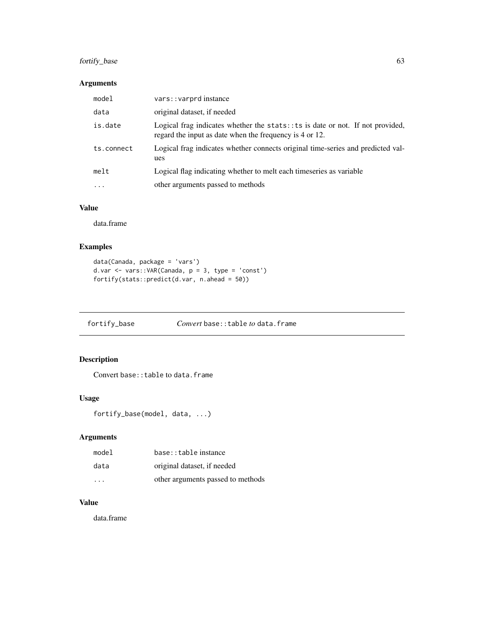# fortify\_base 63

## Arguments

| model      | vars:: varprd instance                                                                                                                      |
|------------|---------------------------------------------------------------------------------------------------------------------------------------------|
| data       | original dataset, if needed                                                                                                                 |
| is.date    | Logical frag indicates whether the stats: $:ts$ is date or not. If not provided,<br>regard the input as date when the frequency is 4 or 12. |
| ts.connect | Logical frag indicates whether connects original time-series and predicted val-<br>ues                                                      |
| melt       | Logical flag indicating whether to melt each timeseries as variable                                                                         |
| $\cdots$   | other arguments passed to methods                                                                                                           |

# Value

data.frame

## Examples

```
data(Canada, package = 'vars')
d.var \leq vars:: VAR(Canada, p = 3, type = 'const')
fortify(stats::predict(d.var, n.ahead = 50))
```
fortify\_base *Convert* base::table *to* data.frame

# Description

Convert base:: table to data.frame

## Usage

```
fortify_base(model, data, ...)
```
## Arguments

| model | base::table instance              |
|-------|-----------------------------------|
| data  | original dataset, if needed       |
| .     | other arguments passed to methods |

## Value

data.frame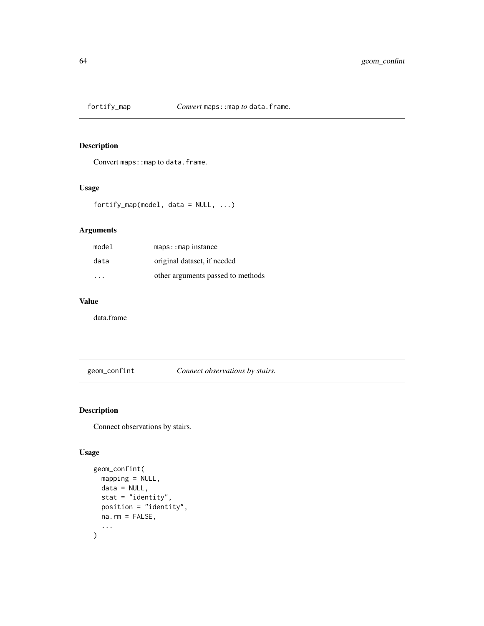Convert maps: : map to data.frame.

## Usage

fortify\_map(model, data = NULL, ...)

# Arguments

| model                   | $maps: :map$ instance             |
|-------------------------|-----------------------------------|
| data                    | original dataset, if needed       |
| $\cdot$ $\cdot$ $\cdot$ | other arguments passed to methods |

# Value

data.frame

geom\_confint *Connect observations by stairs.*

# Description

Connect observations by stairs.

```
geom_confint(
  mapping = NULL,
  data = NULL,stat = "identity",
  position = "identity",
  na.rm = FALSE,
  ...
\mathcal{L}
```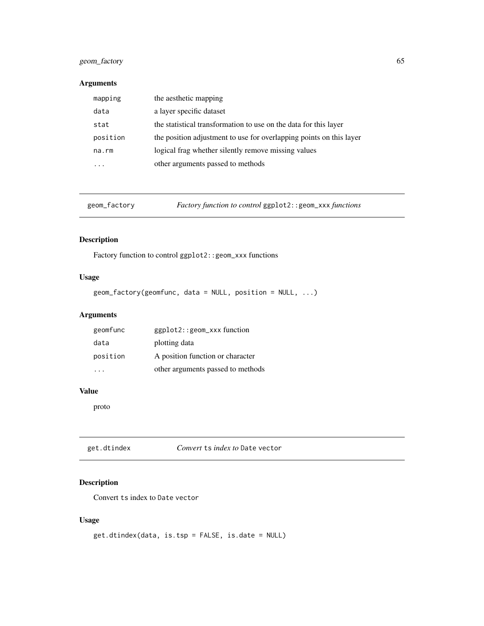## geom\_factory 65

# Arguments

| mapping  | the aesthetic mapping                                               |
|----------|---------------------------------------------------------------------|
| data     | a layer specific dataset                                            |
| stat     | the statistical transformation to use on the data for this layer    |
| position | the position adjustment to use for overlapping points on this layer |
| na.rm    | logical frag whether silently remove missing values                 |
|          | other arguments passed to methods                                   |

geom\_factory *Factory function to control* ggplot2::geom\_xxx *functions*

# Description

Factory function to control ggplot2::geom\_xxx functions

## Usage

```
geom_factory(geomfunc, data = NULL, position = NULL, ...)
```
# Arguments

| geomfunc | $ggplot2$ : : $geom_xxx$ function |
|----------|-----------------------------------|
| data     | plotting data                     |
| position | A position function or character  |
|          | other arguments passed to methods |

# Value

proto

| get.dtindex | Convert ts index to Date vector |  |  |
|-------------|---------------------------------|--|--|
|-------------|---------------------------------|--|--|

# Description

Convert ts index to Date vector

```
get.dtindex(data, is.tsp = FALSE, is.date = NULL)
```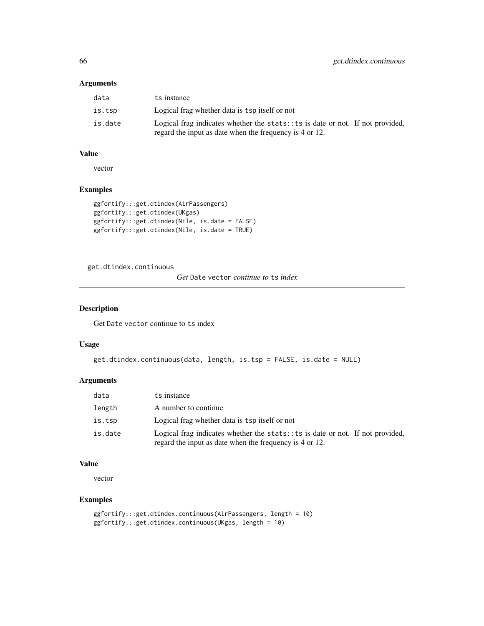#### Arguments

| data    | ts instance                                                                                                                                    |
|---------|------------------------------------------------------------------------------------------------------------------------------------------------|
| is.tsp  | Logical frag whether data is tsp itself or not                                                                                                 |
| is.date | Logical frag indicates whether the stats: $\pm$ ts is date or not. If not provided,<br>regard the input as date when the frequency is 4 or 12. |

#### Value

vector

# Examples

```
ggfortify:::get.dtindex(AirPassengers)
ggfortify:::get.dtindex(UKgas)
ggfortify:::get.dtindex(Nile, is.date = FALSE)
ggfortify:::get.dtindex(Nile, is.date = TRUE)
```
get.dtindex.continuous

*Get* Date vector *continue to* ts *index*

## Description

Get Date vector continue to ts index

#### Usage

```
get.dtindex.continuous(data, length, is.tsp = FALSE, is.date = NULL)
```
#### Arguments

| data    | ts instance                                                                                                                                |
|---------|--------------------------------------------------------------------------------------------------------------------------------------------|
| length  | A number to continue                                                                                                                       |
| is.tsp  | Logical frag whether data is tsp itself or not                                                                                             |
| is.date | Logical frag indicates whether the stats: : ts is date or not. If not provided,<br>regard the input as date when the frequency is 4 or 12. |

## Value

vector

```
ggfortify:::get.dtindex.continuous(AirPassengers, length = 10)
ggfortify:::get.dtindex.continuous(UKgas, length = 10)
```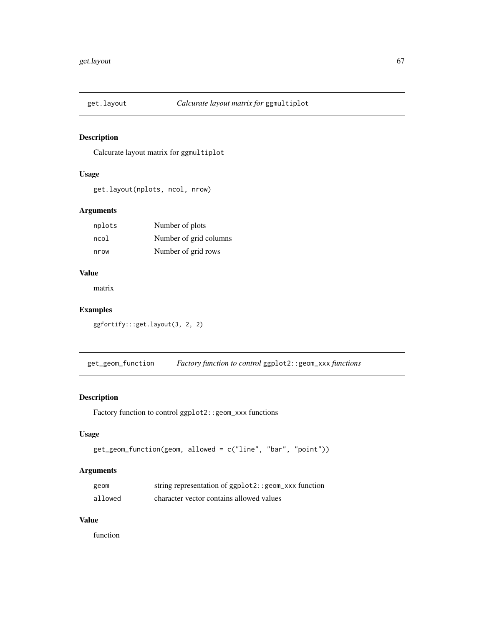Calcurate layout matrix for ggmultiplot

# Usage

get.layout(nplots, ncol, nrow)

## Arguments

| nplots | Number of plots        |
|--------|------------------------|
| ncol   | Number of grid columns |
| nrow   | Number of grid rows    |

#### Value

matrix

# Examples

ggfortify:::get.layout(3, 2, 2)

get\_geom\_function *Factory function to control* ggplot2::geom\_xxx *functions*

## Description

Factory function to control ggplot2::geom\_xxx functions

#### Usage

```
get_geom_function(geom, allowed = c("line", "bar", "point"))
```
## Arguments

| geom    | string representation of ggplot2:: geom_xxx function |
|---------|------------------------------------------------------|
| allowed | character vector contains allowed values             |

#### Value

function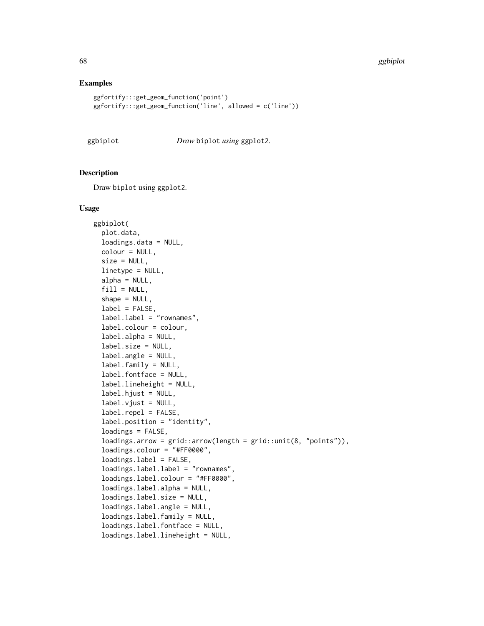#### Examples

```
ggfortify:::get_geom_function('point')
ggfortify:::get_geom_function('line', allowed = c('line'))
```
#### ggbiplot *Draw* biplot *using* ggplot2*.*

#### Description

Draw biplot using ggplot2.

```
ggbiplot(
  plot.data,
  loadings.data = NULL,
  colour = NULL,
  size = NULL,
  linetype = NULL,
  alpha = NULL,
  fill = NULL,shape = NULL,
  label = FALSE,
  label.label = "rownames",
  label.colour = colour,
  label.alpha = NULL,
  label.size = NULL,
  label.angle = NULL,
  label.family = NULL,
  label.fontface = NULL,
  label.lineheight = NULL,
  label.hjust = NULL,
  label.vjust = NULL,label.repel = FALSE,
  label.position = "identity",
  loadings = FALSE,
  loadings.array = grid::arrow(length = grid::unit(8, "points")),
  loadings.colour = "#FF0000",
  loadings.label = FALSE,
  loadings.label.label = "rownames",
  loadings.label.colour = "#FF0000",
  loadings.label.alpha = NULL,
  loadings.label.size = NULL,
  loadings.label.angle = NULL,
  loadings.label.family = NULL,
  loadings.label.fontface = NULL,
  loadings.label.lineheight = NULL,
```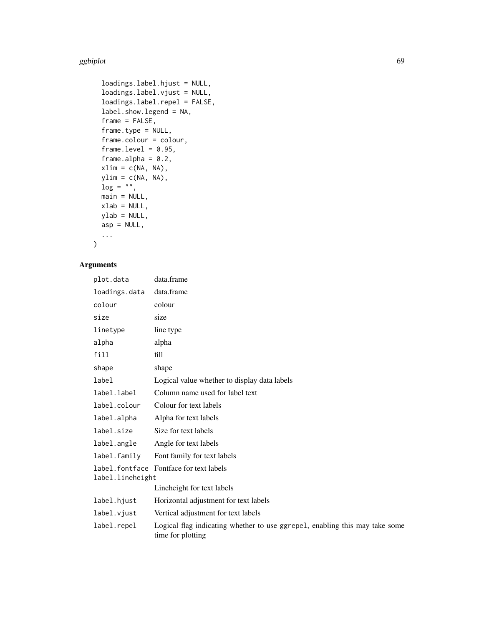#### ggbiplot 69 km and the contract of the contract of the contract of the contract of the contract of the contract of the contract of the contract of the contract of the contract of the contract of the contract of the contrac

```
loadings.label.hjust = NULL,
  loadings.label.vjust = NULL,
  loadings.label.repel = FALSE,
  label.show.legend = NA,
  frame = FALSE,
  frame.type = NULL,
  frame.colour = colour,
  frame.level = 0.95,
  frame.alpha = 0.2,
  xlim = c(NA, NA),
 ylim = c(NA, NA),
 \log = "".main = NULL,
 xlab = NULL,ylab = NULL,
 asp = NULL,
  ...
\mathcal{L}
```
## Arguments

| plot.data                                                   | data.frame                                                                                       |
|-------------------------------------------------------------|--------------------------------------------------------------------------------------------------|
| loadings.data                                               | data.frame                                                                                       |
| colour                                                      | colour                                                                                           |
| size                                                        | size                                                                                             |
| linetype                                                    | line type                                                                                        |
| alpha                                                       | alpha                                                                                            |
| fill                                                        | fill                                                                                             |
| shape                                                       | shape                                                                                            |
| label                                                       | Logical value whether to display data labels                                                     |
| label.label                                                 | Column name used for label text                                                                  |
| label.colour                                                | Colour for text labels                                                                           |
| label.alpha                                                 | Alpha for text labels                                                                            |
| label.size                                                  | Size for text labels                                                                             |
| label.angle                                                 | Angle for text labels                                                                            |
| label.family                                                | Font family for text labels                                                                      |
| label.fontface Fontface for text labels<br>label.lineheight |                                                                                                  |
|                                                             | Lineheight for text labels                                                                       |
| label.hjust                                                 | Horizontal adjustment for text labels                                                            |
| label.vjust                                                 | Vertical adjustment for text labels                                                              |
| label.repel                                                 | Logical flag indicating whether to use ggrepel, enabling this may take some<br>time for plotting |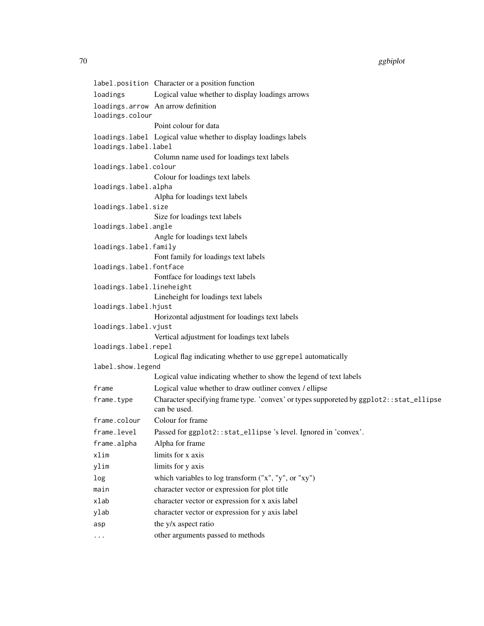label.position Character or a position function loadings Logical value whether to display loadings arrows loadings.arrow An arrow definition loadings.colour Point colour for data loadings.label Logical value whether to display loadings labels loadings.label.label Column name used for loadings text labels loadings.label.colour Colour for loadings text labels loadings.label.alpha Alpha for loadings text labels loadings.label.size Size for loadings text labels loadings.label.angle Angle for loadings text labels loadings.label.family Font family for loadings text labels loadings.label.fontface Fontface for loadings text labels loadings.label.lineheight Lineheight for loadings text labels loadings.label.hjust Horizontal adjustment for loadings text labels loadings.label.vjust Vertical adjustment for loadings text labels loadings.label.repel Logical flag indicating whether to use ggrepel automatically label.show.legend Logical value indicating whether to show the legend of text labels frame Logical value whether to draw outliner convex / ellipse frame.type Character specifying frame type. 'convex' or types supporeted by ggplot2::stat\_ellipse can be used. frame.colour Colour for frame frame.level Passed for ggplot2::stat\_ellipse 's level. Ignored in 'convex'. frame.alpha Alpha for frame xlim limits for x axis ylim limits for y axis log which variables to log transform ("x", "y", or "xy") main character vector or expression for plot title xlab character vector or expression for x axis label ylab character vector or expression for y axis label asp  $the y/x$  aspect ratio ... other arguments passed to methods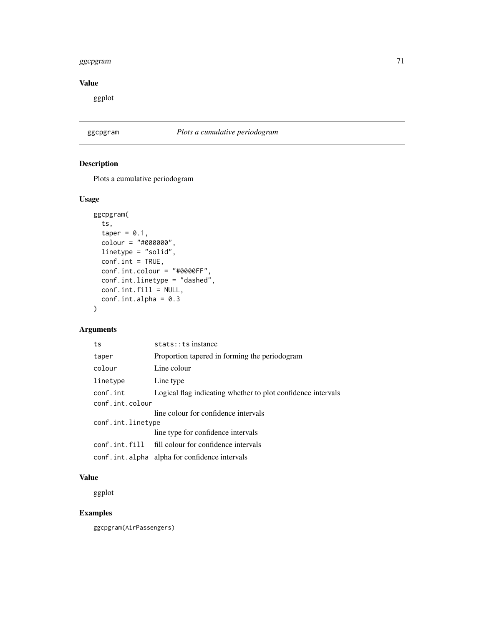#### ggcpgram 71

# Value

ggplot

# ggcpgram *Plots a cumulative periodogram*

# Description

Plots a cumulative periodogram

# Usage

```
ggcpgram(
  ts,
  taper = 0.1,
 colour = "#000000",
 linetype = "solid",
 conf.int = TRUE,conf.int.colour = "#0000FF",
 conf.int.linetype = "dashed",
 conf.int.fill = NULL,
 conf.int.alpha = 0.3)
```
## Arguments

| ts                | stats:: ts instance                                          |  |
|-------------------|--------------------------------------------------------------|--|
| taper             | Proportion tapered in forming the periodogram                |  |
| colour            | Line colour                                                  |  |
| linetype          | Line type                                                    |  |
| conf.int          | Logical flag indicating whether to plot confidence intervals |  |
| conf.int.colour   |                                                              |  |
|                   | line colour for confidence intervals                         |  |
| conf.int.linetype |                                                              |  |
|                   | line type for confidence intervals                           |  |
|                   | conf.int.fill fill colour for confidence intervals           |  |
|                   | conf.int.alpha alpha for confidence intervals                |  |

#### Value

ggplot

# Examples

ggcpgram(AirPassengers)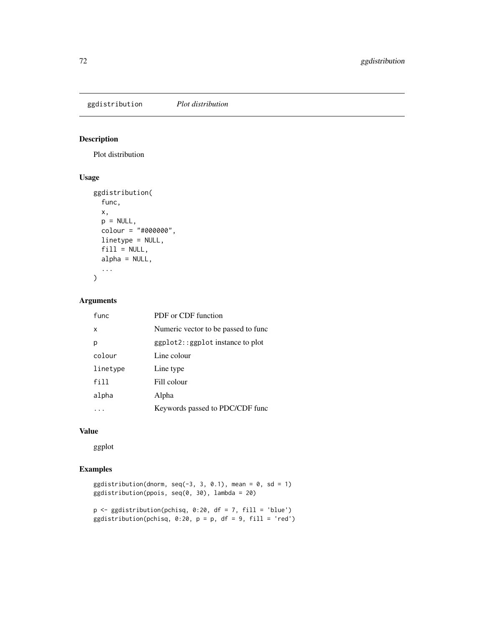ggdistribution *Plot distribution*

# Description

Plot distribution

## Usage

```
ggdistribution(
  func,
  x,
 p = NULL,
 colour = "#000000",
 linetype = NULL,
 fill = NULL,alpha = NULL,
  ...
)
```
## Arguments

| func     | PDF or CDF function                     |
|----------|-----------------------------------------|
| x        | Numeric vector to be passed to func     |
| р        | $ggplot2$ : : $ggplot$ instance to plot |
| colour   | Line colour                             |
| linetype | Line type                               |
| fill     | Fill colour                             |
| alpha    | Alpha                                   |
|          | Keywords passed to PDC/CDF func         |

#### Value

ggplot

# Examples

```
ggdistribution(dnorm, seq(-3, 3, 0.1), mean = 0, sd = 1)
ggdistribution(ppois, seq(0, 30), lambda = 20)
```
p <- ggdistribution(pchisq, 0:20, df = 7, fill = 'blue') ggdistribution(pchisq,  $0:20$ ,  $p = p$ , df = 9, fill = 'red')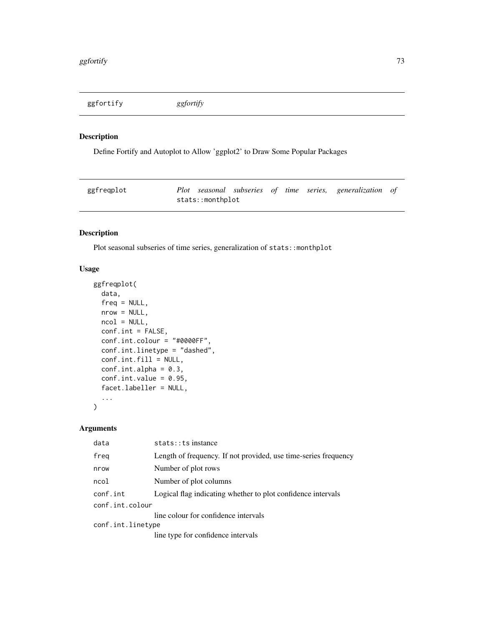<span id="page-72-0"></span>ggfortify *ggfortify*

# Description

Define Fortify and Autoplot to Allow 'ggplot2' to Draw Some Popular Packages

| ggfreqplot |                  |  |  | Plot seasonal subseries of time series, generalization of |  |
|------------|------------------|--|--|-----------------------------------------------------------|--|
|            | stats::monthplot |  |  |                                                           |  |

# Description

Plot seasonal subseries of time series, generalization of stats::monthplot

# Usage

```
ggfreqplot(
 data,
 freq = NULL,
 nrow = NULL,
 ncol = NULL,
 conf.int = FALSE,conf.int.colour = "#0000FF",
 conf.int.linetype = "dashed",
 conf.int.fill = NULL,
 conf.int.alpha = 0.3,conf.int.value = 0.95,facet.labeller = NULL,
  ...
)
```

| data              | stats:: ts instance                                             |
|-------------------|-----------------------------------------------------------------|
| freq              | Length of frequency. If not provided, use time-series frequency |
| nrow              | Number of plot rows                                             |
| ncol              | Number of plot columns                                          |
| conf.int          | Logical flag indicating whether to plot confidence intervals    |
| conf.int.colour   |                                                                 |
|                   | line colour for confidence intervals                            |
| conf.int.linetype |                                                                 |
|                   | line type for confidence intervals                              |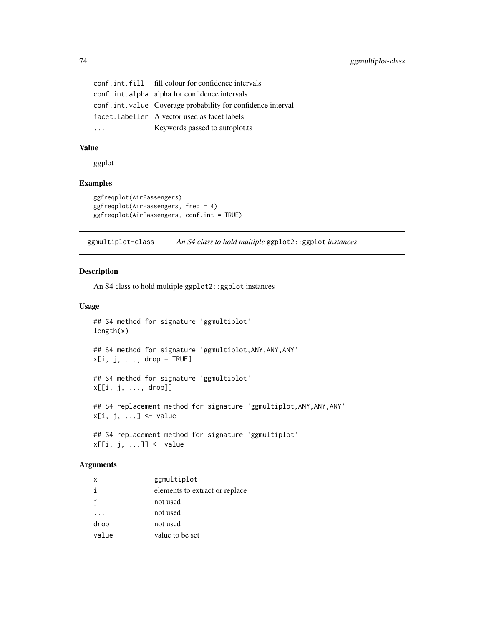<span id="page-73-0"></span>

| conf.int.fill fill colour for confidence intervals          |
|-------------------------------------------------------------|
| conf.int.alpha alpha for confidence intervals               |
| conf.int.value Coverage probability for confidence interval |
| facet.labeller A vector used as facet labels                |
| Keywords passed to autoplot.ts                              |

# Value

ggplot

# Examples

```
ggfreqplot(AirPassengers)
ggfreqplot(AirPassengers, freq = 4)
ggfreqplot(AirPassengers, conf.int = TRUE)
```
ggmultiplot-class *An S4 class to hold multiple* ggplot2::ggplot *instances*

#### Description

An S4 class to hold multiple ggplot2::ggplot instances

#### Usage

```
## S4 method for signature 'ggmultiplot'
length(x)
```

```
## S4 method for signature 'ggmultiplot,ANY,ANY,ANY'
x[i, j, ..., drop = TRUE]
```
## S4 method for signature 'ggmultiplot' x[[i, j, ..., drop]]

## S4 replacement method for signature 'ggmultiplot, ANY, ANY, ANY'  $x[i, j, ...]$  <- value

```
## S4 replacement method for signature 'ggmultiplot'
x[[i, j, ...]] <- value
```

| $\times$ | ggmultiplot                    |
|----------|--------------------------------|
| j.       | elements to extract or replace |
| i        | not used                       |
|          | not used                       |
| drop     | not used                       |
| value    | value to be set                |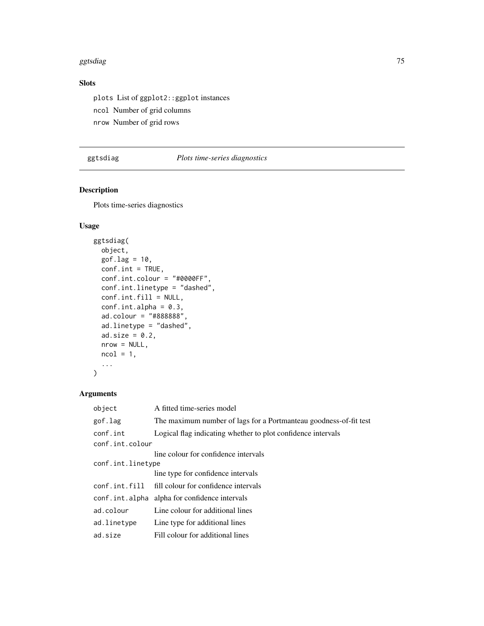#### <span id="page-74-0"></span>ggtsdiag **75**

# Slots

plots List of ggplot2::ggplot instances ncol Number of grid columns nrow Number of grid rows

# ggtsdiag *Plots time-series diagnostics*

# Description

Plots time-series diagnostics

# Usage

```
ggtsdiag(
  object,
  gof.lag = 10,
 conf.int = TRUE,conf.int.colour = "#0000FF",
  conf.int.linetype = "dashed",
  conf.int.fill = NULL,
  conf.int.alpha = 0.3,ad.colour = "#888888",
  ad.linetype = "dashed",
 ad.size = 0.2,
 nrow = NULL,ncol = 1,
  ...
)
```

| object            | A fitted time-series model                                        |
|-------------------|-------------------------------------------------------------------|
| gof.lag           | The maximum number of lags for a Portmanteau goodness-of-fit test |
| conf.int          | Logical flag indicating whether to plot confidence intervals      |
| conf.int.colour   |                                                                   |
|                   | line colour for confidence intervals                              |
| conf.int.linetype |                                                                   |
|                   | line type for confidence intervals                                |
|                   | conf.int.fill fill colour for confidence intervals                |
| conf.int.alpha    | alpha for confidence intervals                                    |
| ad.colour         | Line colour for additional lines                                  |
| ad.linetype       | Line type for additional lines                                    |
| ad.size           | Fill colour for additional lines                                  |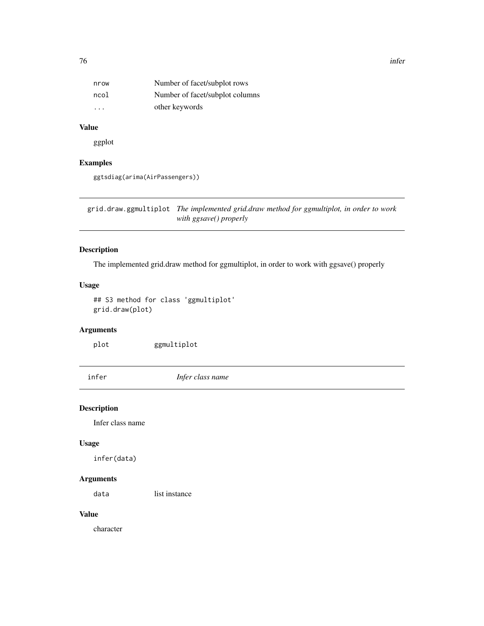<span id="page-75-0"></span>

| nrow    | Number of facet/subplot rows    |
|---------|---------------------------------|
| ncol    | Number of facet/subplot columns |
| $\cdot$ | other keywords                  |

# Value

ggplot

# Examples

```
ggtsdiag(arima(AirPassengers))
```
grid.draw.ggmultiplot *The implemented grid.draw method for ggmultiplot, in order to work with ggsave() properly*

#### Description

The implemented grid.draw method for ggmultiplot, in order to work with ggsave() properly

#### Usage

```
## S3 method for class 'ggmultiplot'
grid.draw(plot)
```
# Arguments

plot ggmultiplot

infer *Infer class name*

#### Description

Infer class name

# Usage

infer(data)

#### Arguments

data list instance

# Value

character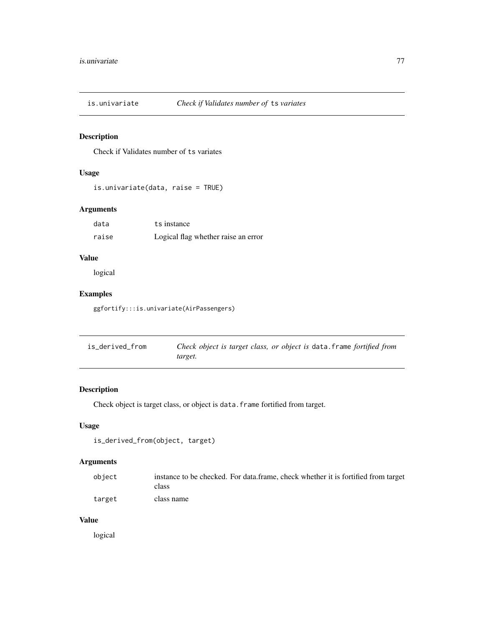<span id="page-76-0"></span>

# Description

Check if Validates number of ts variates

# Usage

```
is.univariate(data, raise = TRUE)
```
# Arguments

| data  | ts instance                         |
|-------|-------------------------------------|
| raise | Logical flag whether raise an error |

# Value

logical

# Examples

ggfortify:::is.univariate(AirPassengers)

| is_derived_from | Check object is target class, or object is data. frame fortified from |
|-----------------|-----------------------------------------------------------------------|
|                 | target.                                                               |

# Description

Check object is target class, or object is data.frame fortified from target.

#### Usage

```
is_derived_from(object, target)
```
# Arguments

| obiect | instance to be checked. For data frame, check whether it is fortified from target<br>class |
|--------|--------------------------------------------------------------------------------------------|
| target | class name                                                                                 |

#### Value

logical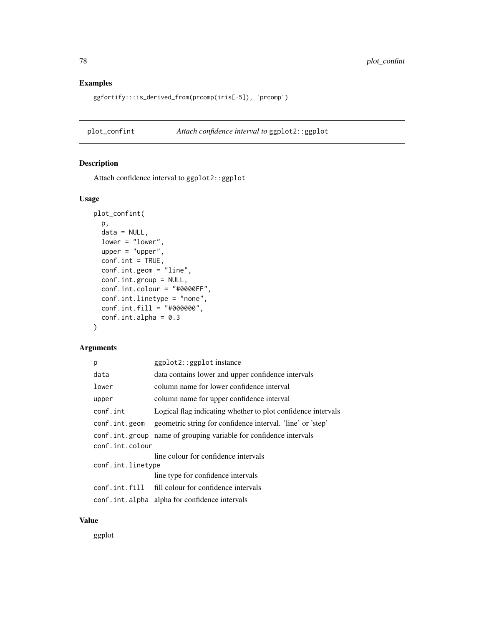#### Examples

ggfortify:::is\_derived\_from(prcomp(iris[-5]), 'prcomp')

plot\_confint *Attach confidence interval to* ggplot2::ggplot

# Description

Attach confidence interval to ggplot2::ggplot

# Usage

```
plot_confint(
 p,
 data = NULL,lower = "lower",
 upper = "upper",
 conf.int = TRUE,conf.int.geom = "line",
 conf.int.group = NULL,
 conf.int.colour = "#0000FF",
 conf.int.linetype = "none",
 conf.int.fill = "#000000",
 conf.int.alpha = 0.3)
```
#### Arguments

| p                 | ggplot2::ggplot instance                                     |
|-------------------|--------------------------------------------------------------|
| data              | data contains lower and upper confidence intervals           |
| lower             | column name for lower confidence interval                    |
| upper             | column name for upper confidence interval                    |
| conf.int          | Logical flag indicating whether to plot confidence intervals |
| conf.int.geom     | geometric string for confidence interval. 'line' or 'step'   |
| conf.int.group    | name of grouping variable for confidence intervals           |
| conf.int.colour   |                                                              |
|                   | line colour for confidence intervals                         |
| conf.int.linetype |                                                              |
|                   | line type for confidence intervals                           |
|                   | conf.int.fill fill colour for confidence intervals           |
|                   | conf.int.alpha alpha for confidence intervals                |

#### Value

ggplot

<span id="page-77-0"></span>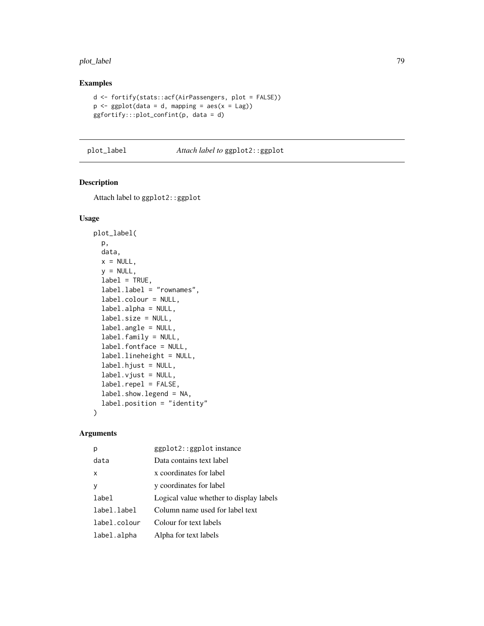#### <span id="page-78-0"></span>plot\_label 79

# Examples

```
d <- fortify(stats::acf(AirPassengers, plot = FALSE))
p \leftarrow ggplot(data = d, mapping = aes(x = Lag))ggfortify:::plot_confint(p, data = d)
```
#### plot\_label *Attach label to* ggplot2::ggplot

# Description

Attach label to ggplot2::ggplot

#### Usage

```
plot_label(
 p,
 data,
 x = NULL,y = NULL,
 label = TRUE,label.label = "rownames",
  label.colour = NULL,
  label.alpha = NULL,
  label.size = NULL,
  label.angle = NULL,
  label.family = NULL,
  label.fontface = NULL,
  label.lineheight = NULL,
  label.hjust = NULL,
  label.vjust = NULL,label.repel = FALSE,
  label.show.legend = NA,
  label.position = "identity"
)
```

| р            | ggplot2::ggplot instance                |
|--------------|-----------------------------------------|
| data         | Data contains text label                |
| x            | x coordinates for label                 |
| ٧            | y coordinates for label                 |
| label        | Logical value whether to display labels |
| label.label  | Column name used for label text         |
| label.colour | Colour for text labels                  |
| label.alpha  | Alpha for text labels                   |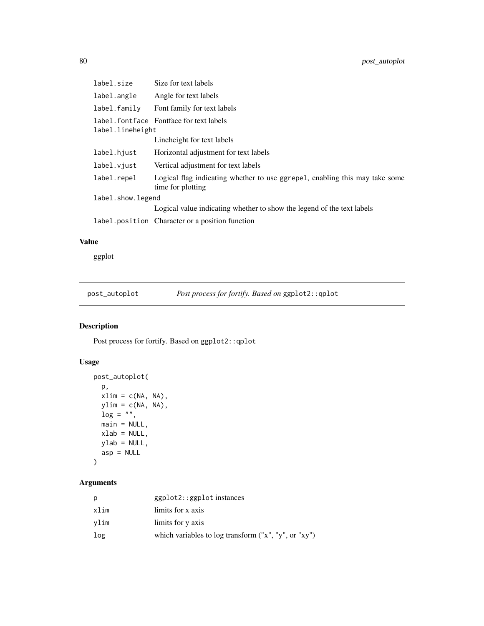<span id="page-79-0"></span>

| label.size        | Size for text labels                                                                             |
|-------------------|--------------------------------------------------------------------------------------------------|
| label.angle       | Angle for text labels                                                                            |
| label.family      | Font family for text labels                                                                      |
| label.lineheight  | label.fontface Fontface for text labels                                                          |
|                   | Lineheight for text labels                                                                       |
| label.hjust       | Horizontal adjustment for text labels                                                            |
| label.viust       | Vertical adjustment for text labels                                                              |
| label.repel       | Logical flag indicating whether to use ggrepel, enabling this may take some<br>time for plotting |
| label.show.legend |                                                                                                  |
|                   | Logical value indicating whether to show the legend of the text labels                           |
|                   | label.position Character or a position function                                                  |

# Value

ggplot

post\_autoplot *Post process for fortify. Based on* ggplot2::qplot

# Description

Post process for fortify. Based on ggplot2::qplot

# Usage

```
post_autoplot(
 p,
 xlim = c(NA, NA),
 ylim = c(NA, NA),
 \log = "",main = NULL,
 xlab = NULL,
 ylab = NULL,
 asp = NULL\mathcal{L}
```

| D    | $ggplot2::ggplot$ instances                            |
|------|--------------------------------------------------------|
| xlim | limits for x axis                                      |
| vlim | limits for y axis                                      |
| log  | which variables to log transform $("x", "y", or "xy")$ |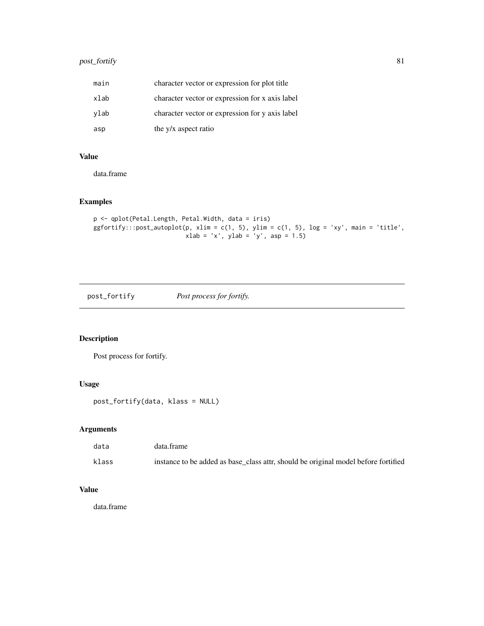# <span id="page-80-0"></span>post\_fortify 81

| main | character vector or expression for plot title   |
|------|-------------------------------------------------|
| xlab | character vector or expression for x axis label |
| vlab | character vector or expression for y axis label |
| asp  | the y/x aspect ratio                            |

# Value

data.frame

# Examples

```
p <- qplot(Petal.Length, Petal.Width, data = iris)
ggfortify::post\_autoplot(p, xlim = c(1, 5), ylim = c(1, 5), log = 'xy', main = 'title',xlab = 'x', ylab = 'y', asp = 1.5)
```
post\_fortify *Post process for fortify.*

# Description

Post process for fortify.

# Usage

post\_fortify(data, klass = NULL)

#### Arguments

| data  | data.frame                                                                         |
|-------|------------------------------------------------------------------------------------|
| klass | instance to be added as base_class attr, should be original model before fortified |

# Value

data.frame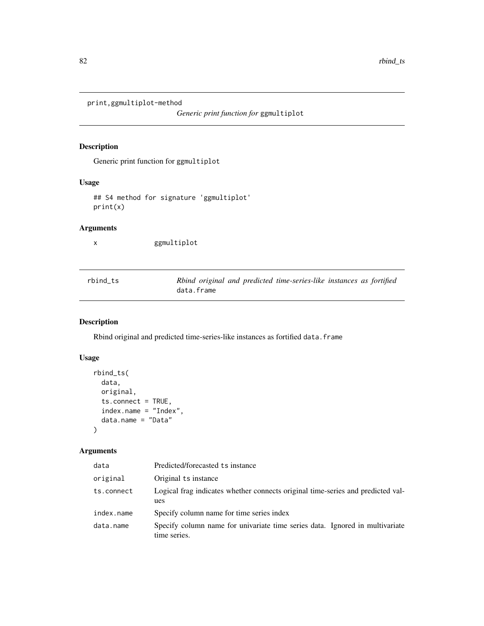<span id="page-81-0"></span>print,ggmultiplot-method

*Generic print function for* ggmultiplot

# Description

Generic print function for ggmultiplot

# Usage

## S4 method for signature 'ggmultiplot' print(x)

# Arguments

x ggmultiplot

| rbind ts | Rbind original and predicted time-series-like instances as fortified |
|----------|----------------------------------------------------------------------|
|          | data.frame                                                           |

# Description

Rbind original and predicted time-series-like instances as fortified data.frame

# Usage

```
rbind_ts(
 data,
  original,
  ts.connect = TRUE,
  index.name = "Index",
  data.name = "Data"
)
```

| data       | Predicted/forecasted ts instance                                                             |  |
|------------|----------------------------------------------------------------------------------------------|--|
| original   | Original ts instance                                                                         |  |
| ts.connect | Logical frag indicates whether connects original time-series and predicted val-<br>ues       |  |
| index.name | Specify column name for time series index                                                    |  |
| data.name  | Specify column name for univariate time series data. Ignored in multivariate<br>time series. |  |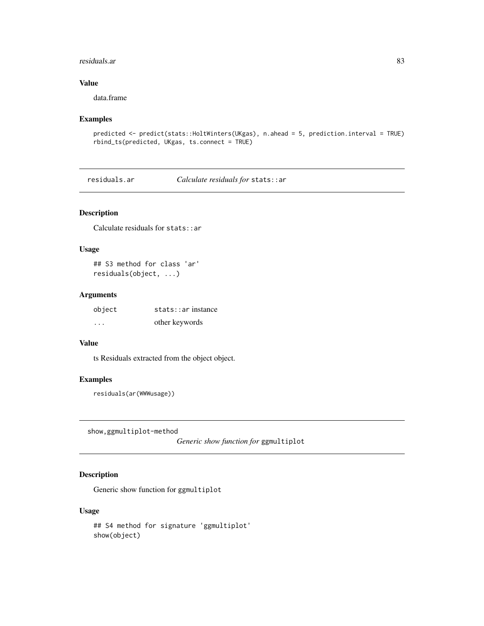#### <span id="page-82-0"></span>residuals.ar 83

# Value

data.frame

#### Examples

```
predicted <- predict(stats::HoltWinters(UKgas), n.ahead = 5, prediction.interval = TRUE)
rbind_ts(predicted, UKgas, ts.connect = TRUE)
```
residuals.ar *Calculate residuals for* stats::ar

## Description

Calculate residuals for stats::ar

#### Usage

## S3 method for class 'ar' residuals(object, ...)

#### Arguments

| object  | stats:ar instance |
|---------|-------------------|
| $\cdot$ | other keywords    |

# Value

ts Residuals extracted from the object object.

#### Examples

residuals(ar(WWWusage))

show,ggmultiplot-method

*Generic show function for* ggmultiplot

# Description

Generic show function for ggmultiplot

#### Usage

```
## S4 method for signature 'ggmultiplot'
show(object)
```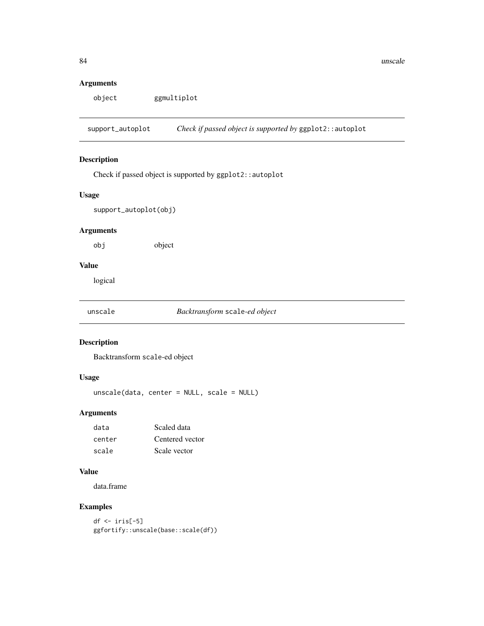# <span id="page-83-0"></span>Arguments

object ggmultiplot

support\_autoplot *Check if passed object is supported by* ggplot2::autoplot

# Description

Check if passed object is supported by ggplot2::autoplot

# Usage

support\_autoplot(obj)

# Arguments

obj object

# Value

logical

unscale *Backtransform* scale*-ed object*

# Description

Backtransform scale-ed object

#### Usage

unscale(data, center = NULL, scale = NULL)

# Arguments

| data   | Scaled data     |
|--------|-----------------|
| center | Centered vector |
| scale  | Scale vector    |

#### Value

data.frame

# Examples

```
df \leftarrow iris[-5]ggfortify::unscale(base::scale(df))
```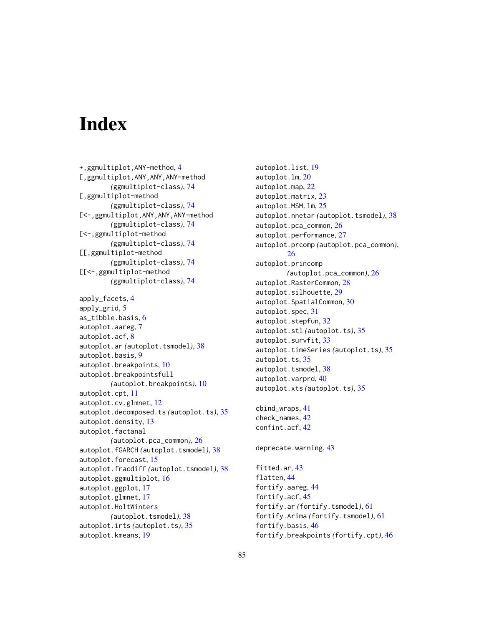# **Index**

+,ggmultiplot,ANY-method, [4](#page-3-0) [,ggmultiplot,ANY,ANY,ANY-method *(*ggmultiplot-class*)*, [74](#page-73-0) [,ggmultiplot-method *(*ggmultiplot-class*)*, [74](#page-73-0) [<-,ggmultiplot,ANY,ANY,ANY-method *(*ggmultiplot-class*)*, [74](#page-73-0) [<-,ggmultiplot-method *(*ggmultiplot-class*)*, [74](#page-73-0) [[,ggmultiplot-method *(*ggmultiplot-class*)*, [74](#page-73-0) [[<-,ggmultiplot-method *(*ggmultiplot-class*)*, [74](#page-73-0) apply\_facets, [4](#page-3-0) apply\_grid, [5](#page-4-0) as\_tibble.basis, [6](#page-5-0) autoplot.aareg, [7](#page-6-0) autoplot.acf, [8](#page-7-0) autoplot.ar *(*autoplot.tsmodel*)*, [38](#page-37-0) autoplot.basis, [9](#page-8-0) autoplot.breakpoints, [10](#page-9-0) autoplot.breakpointsfull *(*autoplot.breakpoints*)*, [10](#page-9-0) autoplot.cpt, [11](#page-10-0) autoplot.cv.glmnet, [12](#page-11-0) autoplot.decomposed.ts *(*autoplot.ts*)*, [35](#page-34-0) autoplot.density, [13](#page-12-0) autoplot.factanal *(*autoplot.pca\_common*)*, [26](#page-25-0) autoplot.fGARCH *(*autoplot.tsmodel*)*, [38](#page-37-0) autoplot.forecast, [15](#page-14-0) autoplot.fracdiff *(*autoplot.tsmodel*)*, [38](#page-37-0) autoplot.ggmultiplot, [16](#page-15-0) autoplot.ggplot, [17](#page-16-0) autoplot.glmnet, [17](#page-16-0) autoplot.HoltWinters *(*autoplot.tsmodel*)*, [38](#page-37-0) autoplot.irts *(*autoplot.ts*)*, [35](#page-34-0) autoplot.kmeans, [19](#page-18-0)

autoplot.list, [19](#page-18-0) autoplot.lm, [20](#page-19-0) autoplot.map, [22](#page-21-0) autoplot.matrix, [23](#page-22-0) autoplot.MSM.lm, [25](#page-24-0) autoplot.nnetar *(*autoplot.tsmodel*)*, [38](#page-37-0) autoplot.pca\_common, [26](#page-25-0) autoplot.performance, [27](#page-26-0) autoplot.prcomp *(*autoplot.pca\_common*)*, [26](#page-25-0) autoplot.princomp *(*autoplot.pca\_common*)*, [26](#page-25-0) autoplot.RasterCommon, [28](#page-27-0) autoplot.silhouette, [29](#page-28-0) autoplot.SpatialCommon, [30](#page-29-0) autoplot.spec, [31](#page-30-0) autoplot.stepfun, [32](#page-31-0) autoplot.stl *(*autoplot.ts*)*, [35](#page-34-0) autoplot.survfit, [33](#page-32-0) autoplot.timeSeries *(*autoplot.ts*)*, [35](#page-34-0) autoplot.ts, [35](#page-34-0) autoplot.tsmodel, [38](#page-37-0) autoplot.varprd, [40](#page-39-0) autoplot.xts *(*autoplot.ts*)*, [35](#page-34-0) cbind\_wraps, [41](#page-40-0) check\_names, [42](#page-41-0) confint.acf, [42](#page-41-0)

```
deprecate.warning, 43
```
fitted.ar, [43](#page-42-0) flatten, [44](#page-43-0) fortify.aareg, [44](#page-43-0) fortify.acf, [45](#page-44-0) fortify.ar *(*fortify.tsmodel*)*, [61](#page-60-0) fortify.Arima *(*fortify.tsmodel*)*, [61](#page-60-0) fortify.basis, [46](#page-45-0) fortify.breakpoints *(*fortify.cpt*)*, [46](#page-45-0)